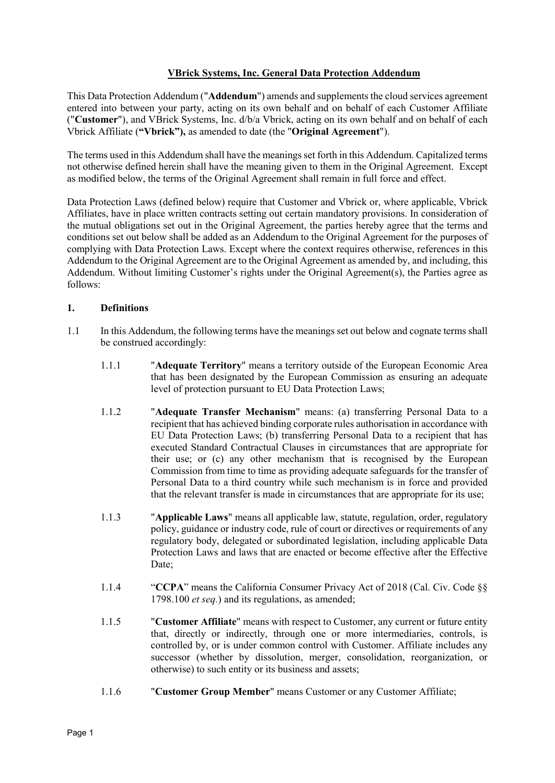### **VBrick Systems, Inc. General Data Protection Addendum**

This Data Protection Addendum ("**Addendum**") amends and supplements the cloud services agreement entered into between your party, acting on its own behalf and on behalf of each Customer Affiliate ("**Customer**"), and VBrick Systems, Inc. d/b/a Vbrick, acting on its own behalf and on behalf of each Vbrick Affiliate (**"Vbrick"),** as amended to date (the "**Original Agreement**").

The terms used in this Addendum shall have the meanings set forth in this Addendum. Capitalized terms not otherwise defined herein shall have the meaning given to them in the Original Agreement. Except as modified below, the terms of the Original Agreement shall remain in full force and effect.

Data Protection Laws (defined below) require that Customer and Vbrick or, where applicable, Vbrick Affiliates, have in place written contracts setting out certain mandatory provisions. In consideration of the mutual obligations set out in the Original Agreement, the parties hereby agree that the terms and conditions set out below shall be added as an Addendum to the Original Agreement for the purposes of complying with Data Protection Laws. Except where the context requires otherwise, references in this Addendum to the Original Agreement are to the Original Agreement as amended by, and including, this Addendum. Without limiting Customer's rights under the Original Agreement(s), the Parties agree as follows:

### **1. Definitions**

- 1.1 In this Addendum, the following terms have the meanings set out below and cognate terms shall be construed accordingly:
	- 1.1.1 "**Adequate Territory**" means a territory outside of the European Economic Area that has been designated by the European Commission as ensuring an adequate level of protection pursuant to EU Data Protection Laws;
	- 1.1.2 "**Adequate Transfer Mechanism**" means: (a) transferring Personal Data to a recipient that has achieved binding corporate rules authorisation in accordance with EU Data Protection Laws; (b) transferring Personal Data to a recipient that has executed Standard Contractual Clauses in circumstances that are appropriate for their use; or (c) any other mechanism that is recognised by the European Commission from time to time as providing adequate safeguards for the transfer of Personal Data to a third country while such mechanism is in force and provided that the relevant transfer is made in circumstances that are appropriate for its use;
	- 1.1.3 "**Applicable Laws**" means all applicable law, statute, regulation, order, regulatory policy, guidance or industry code, rule of court or directives or requirements of any regulatory body, delegated or subordinated legislation, including applicable Data Protection Laws and laws that are enacted or become effective after the Effective Date;
	- 1.1.4 "**CCPA**" means the California Consumer Privacy Act of 2018 (Cal. Civ. Code §§ 1798.100 *et seq.*) and its regulations, as amended;
	- 1.1.5 "**Customer Affiliate**" means with respect to Customer, any current or future entity that, directly or indirectly, through one or more intermediaries, controls, is controlled by, or is under common control with Customer. Affiliate includes any successor (whether by dissolution, merger, consolidation, reorganization, or otherwise) to such entity or its business and assets;
	- 1.1.6 "**Customer Group Member**" means Customer or any Customer Affiliate;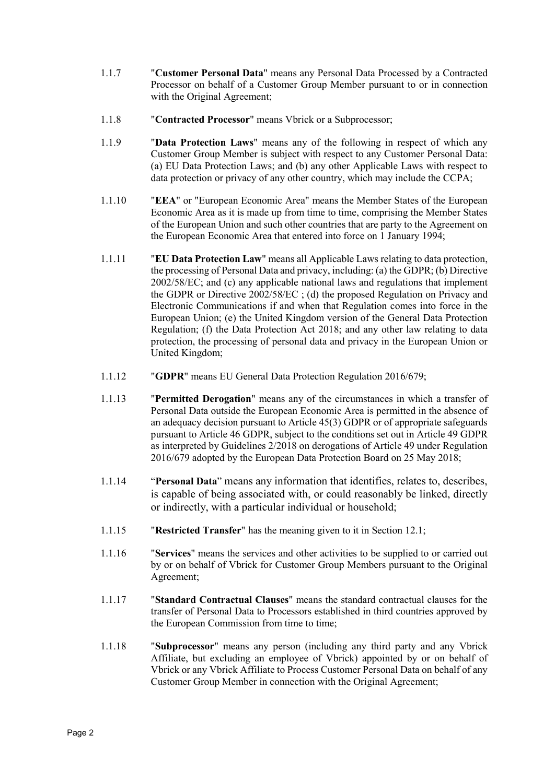- 1.1.7 "**Customer Personal Data**" means any Personal Data Processed by a Contracted Processor on behalf of a Customer Group Member pursuant to or in connection with the Original Agreement;
- 1.1.8 "**Contracted Processor**" means Vbrick or a Subprocessor;
- 1.1.9 "**Data Protection Laws**" means any of the following in respect of which any Customer Group Member is subject with respect to any Customer Personal Data: (a) EU Data Protection Laws; and (b) any other Applicable Laws with respect to data protection or privacy of any other country, which may include the CCPA;
- 1.1.10 "**EEA**" or "European Economic Area" means the Member States of the European Economic Area as it is made up from time to time, comprising the Member States of the European Union and such other countries that are party to the Agreement on the European Economic Area that entered into force on 1 January 1994;
- 1.1.11 "**EU Data Protection Law**" means all Applicable Laws relating to data protection, the processing of Personal Data and privacy, including: (a) the GDPR; (b) Directive 2002/58/EC; and (c) any applicable national laws and regulations that implement the GDPR or Directive 2002/58/EC ; (d) the proposed Regulation on Privacy and Electronic Communications if and when that Regulation comes into force in the European Union; (e) the United Kingdom version of the General Data Protection Regulation; (f) the Data Protection Act 2018; and any other law relating to data protection, the processing of personal data and privacy in the European Union or United Kingdom;
- 1.1.12 "**GDPR**" means EU General Data Protection Regulation 2016/679;
- 1.1.13 "**Permitted Derogation**" means any of the circumstances in which a transfer of Personal Data outside the European Economic Area is permitted in the absence of an adequacy decision pursuant to Article 45(3) GDPR or of appropriate safeguards pursuant to Article 46 GDPR, subject to the conditions set out in Article 49 GDPR as interpreted by Guidelines 2/2018 on derogations of Article 49 under Regulation 2016/679 adopted by the European Data Protection Board on 25 May 2018;
- 1.1.14 "**Personal Data**" means any information that identifies, relates to, describes, is capable of being associated with, or could reasonably be linked, directly or indirectly, with a particular individual or household;
- 1.1.15 "**Restricted Transfer**" has the meaning given to it in Section 12.1;
- 1.1.16 "**Services**" means the services and other activities to be supplied to or carried out by or on behalf of Vbrick for Customer Group Members pursuant to the Original Agreement;
- 1.1.17 "**Standard Contractual Clauses**" means the standard contractual clauses for the transfer of Personal Data to Processors established in third countries approved by the European Commission from time to time;
- 1.1.18 "**Subprocessor**" means any person (including any third party and any Vbrick Affiliate, but excluding an employee of Vbrick) appointed by or on behalf of Vbrick or any Vbrick Affiliate to Process Customer Personal Data on behalf of any Customer Group Member in connection with the Original Agreement;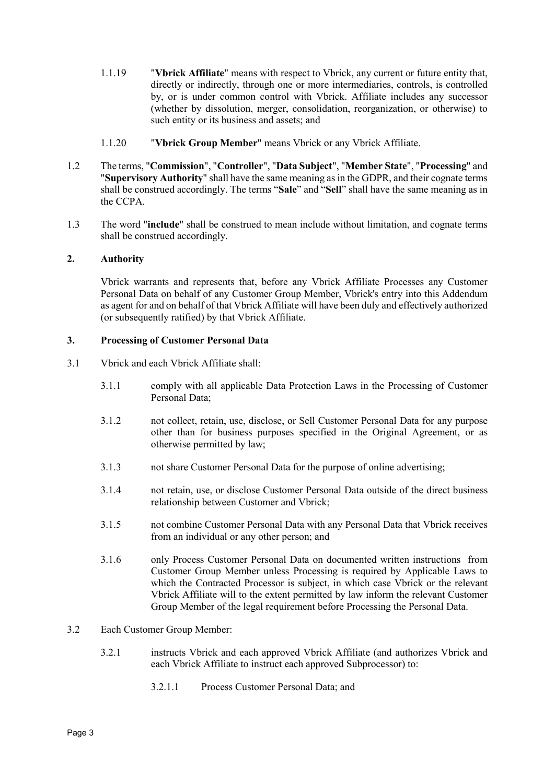- 1.1.19 "**Vbrick Affiliate**" means with respect to Vbrick, any current or future entity that, directly or indirectly, through one or more intermediaries, controls, is controlled by, or is under common control with Vbrick. Affiliate includes any successor (whether by dissolution, merger, consolidation, reorganization, or otherwise) to such entity or its business and assets; and
- 1.1.20 "**Vbrick Group Member**" means Vbrick or any Vbrick Affiliate.
- 1.2 The terms, "**Commission**", "**Controller**", "**Data Subject**", "**Member State**", "**Processing**" and "**Supervisory Authority**" shall have the same meaning as in the GDPR, and their cognate terms shall be construed accordingly. The terms "**Sale**" and "**Sell**" shall have the same meaning as in the CCPA.
- 1.3 The word "**include**" shall be construed to mean include without limitation, and cognate terms shall be construed accordingly.

### **2. Authority**

Vbrick warrants and represents that, before any Vbrick Affiliate Processes any Customer Personal Data on behalf of any Customer Group Member, Vbrick's entry into this Addendum as agent for and on behalf of that Vbrick Affiliate will have been duly and effectively authorized (or subsequently ratified) by that Vbrick Affiliate.

### **3. Processing of Customer Personal Data**

- 3.1 Vbrick and each Vbrick Affiliate shall:
	- 3.1.1 comply with all applicable Data Protection Laws in the Processing of Customer Personal Data;
	- 3.1.2 not collect, retain, use, disclose, or Sell Customer Personal Data for any purpose other than for business purposes specified in the Original Agreement, or as otherwise permitted by law;
	- 3.1.3 not share Customer Personal Data for the purpose of online advertising;
	- 3.1.4 not retain, use, or disclose Customer Personal Data outside of the direct business relationship between Customer and Vbrick;
	- 3.1.5 not combine Customer Personal Data with any Personal Data that Vbrick receives from an individual or any other person; and
	- 3.1.6 only Process Customer Personal Data on documented written instructions from Customer Group Member unless Processing is required by Applicable Laws to which the Contracted Processor is subject, in which case Vbrick or the relevant Vbrick Affiliate will to the extent permitted by law inform the relevant Customer Group Member of the legal requirement before Processing the Personal Data.

#### <span id="page-2-0"></span>3.2 Each Customer Group Member:

- 3.2.1 instructs Vbrick and each approved Vbrick Affiliate (and authorizes Vbrick and each Vbrick Affiliate to instruct each approved Subprocessor) to:
	- 3.2.1.1 Process Customer Personal Data; and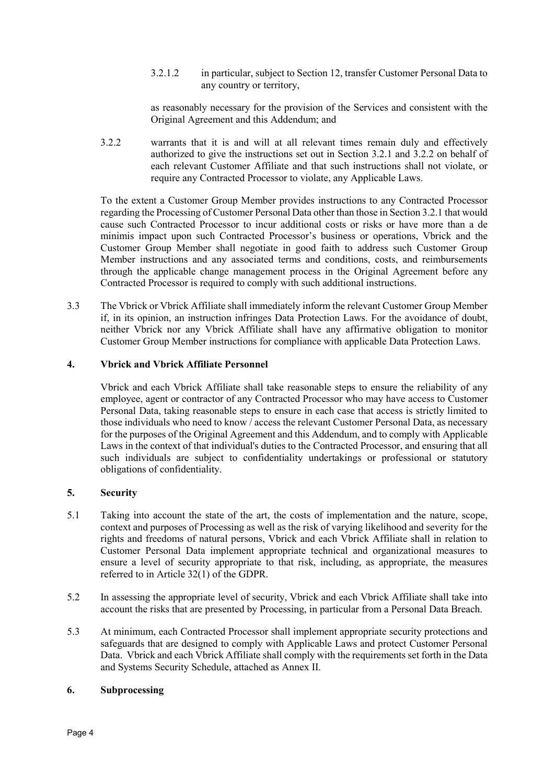### 3.2.1.2 in particular, subject to Section 12, transfer Customer Personal Data to any country or territory,

as reasonably necessary for the provision of the Services and consistent with the Original Agreement and this Addendum; and

3.2.2 warrants that it is and will at all relevant times remain duly and effectively authorized to give the instructions set out in Section [3.2.1](#page-2-0) and 3.2.2 on behalf of each relevant Customer Affiliate and that such instructions shall not violate, or require any Contracted Processor to violate, any Applicable Laws.

To the extent a Customer Group Member provides instructions to any Contracted Processor regarding the Processing of Customer Personal Data other than those in Section 3.2.1 that would cause such Contracted Processor to incur additional costs or risks or have more than a de minimis impact upon such Contracted Processor's business or operations, Vbrick and the Customer Group Member shall negotiate in good faith to address such Customer Group Member instructions and any associated terms and conditions, costs, and reimbursements through the applicable change management process in the Original Agreement before any Contracted Processor is required to comply with such additional instructions.

3.3 The Vbrick or Vbrick Affiliate shall immediately inform the relevant Customer Group Member if, in its opinion, an instruction infringes Data Protection Laws. For the avoidance of doubt, neither Vbrick nor any Vbrick Affiliate shall have any affirmative obligation to monitor Customer Group Member instructions for compliance with applicable Data Protection Laws.

#### **4. Vbrick and Vbrick Affiliate Personnel**

Vbrick and each Vbrick Affiliate shall take reasonable steps to ensure the reliability of any employee, agent or contractor of any Contracted Processor who may have access to Customer Personal Data, taking reasonable steps to ensure in each case that access is strictly limited to those individuals who need to know / access the relevant Customer Personal Data, as necessary for the purposes of the Original Agreement and this Addendum, and to comply with Applicable Laws in the context of that individual's duties to the Contracted Processor, and ensuring that all such individuals are subject to confidentiality undertakings or professional or statutory obligations of confidentiality.

#### **5. Security**

- 5.1 Taking into account the state of the art, the costs of implementation and the nature, scope, context and purposes of Processing as well as the risk of varying likelihood and severity for the rights and freedoms of natural persons, Vbrick and each Vbrick Affiliate shall in relation to Customer Personal Data implement appropriate technical and organizational measures to ensure a level of security appropriate to that risk, including, as appropriate, the measures referred to in Article 32(1) of the GDPR.
- 5.2 In assessing the appropriate level of security, Vbrick and each Vbrick Affiliate shall take into account the risks that are presented by Processing, in particular from a Personal Data Breach.
- 5.3 At minimum, each Contracted Processor shall implement appropriate security protections and safeguards that are designed to comply with Applicable Laws and protect Customer Personal Data. Vbrick and each Vbrick Affiliate shall comply with the requirements set forth in the Data and Systems Security Schedule, attached as Annex II.

#### **6. Subprocessing**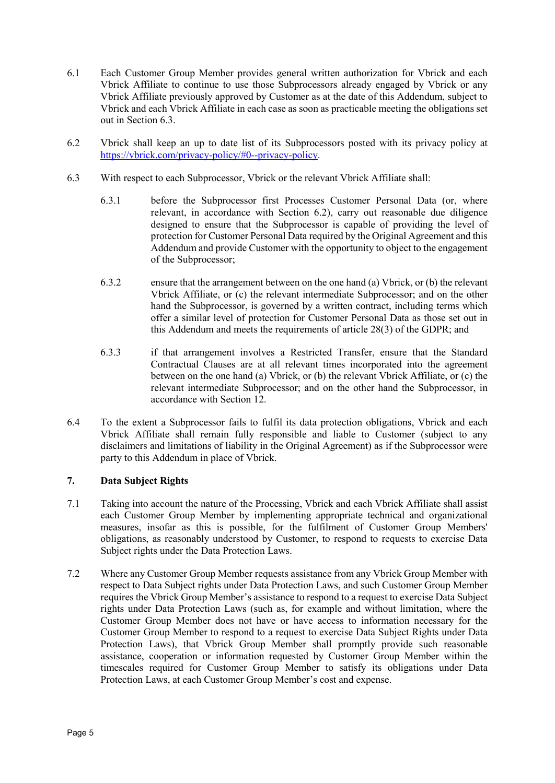- <span id="page-4-1"></span>6.1 Each Customer Group Member provides general written authorization for Vbrick and each Vbrick Affiliate to continue to use those Subprocessors already engaged by Vbrick or any Vbrick Affiliate previously approved by Customer as at the date of this Addendum, subject to Vbrick and each Vbrick Affiliate in each case as soon as practicable meeting the obligations set out in Section [6.3](#page-4-0).
- 6.2 Vbrick shall keep an up to date list of its Subprocessors posted with its privacy policy at [https://vbrick.com/privacy-policy/#0--privacy-policy.](https://vbrick.com/privacy-policy/#0--privacy-policy)
- <span id="page-4-0"></span>6.3 With respect to each Subprocessor, Vbrick or the relevant Vbrick Affiliate shall:
	- 6.3.1 before the Subprocessor first Processes Customer Personal Data (or, where relevant, in accordance with Section [6.2\)](#page-4-1), carry out reasonable due diligence designed to ensure that the Subprocessor is capable of providing the level of protection for Customer Personal Data required by the Original Agreement and this Addendum and provide Customer with the opportunity to object to the engagement of the Subprocessor;
	- 6.3.2 ensure that the arrangement between on the one hand (a) Vbrick, or (b) the relevant Vbrick Affiliate, or (c) the relevant intermediate Subprocessor; and on the other hand the Subprocessor, is governed by a written contract, including terms which offer a similar level of protection for Customer Personal Data as those set out in this Addendum and meets the requirements of article 28(3) of the GDPR; and
	- 6.3.3 if that arrangement involves a Restricted Transfer, ensure that the Standard Contractual Clauses are at all relevant times incorporated into the agreement between on the one hand (a) Vbrick, or (b) the relevant Vbrick Affiliate, or (c) the relevant intermediate Subprocessor; and on the other hand the Subprocessor, in accordance with Section 12.
- 6.4 To the extent a Subprocessor fails to fulfil its data protection obligations, Vbrick and each Vbrick Affiliate shall remain fully responsible and liable to Customer (subject to any disclaimers and limitations of liability in the Original Agreement) as if the Subprocessor were party to this Addendum in place of Vbrick.

## **7. Data Subject Rights**

- 7.1 Taking into account the nature of the Processing, Vbrick and each Vbrick Affiliate shall assist each Customer Group Member by implementing appropriate technical and organizational measures, insofar as this is possible, for the fulfilment of Customer Group Members' obligations, as reasonably understood by Customer, to respond to requests to exercise Data Subject rights under the Data Protection Laws.
- 7.2 Where any Customer Group Member requests assistance from any Vbrick Group Member with respect to Data Subject rights under Data Protection Laws, and such Customer Group Member requires the Vbrick Group Member's assistance to respond to a request to exercise Data Subject rights under Data Protection Laws (such as, for example and without limitation, where the Customer Group Member does not have or have access to information necessary for the Customer Group Member to respond to a request to exercise Data Subject Rights under Data Protection Laws), that Vbrick Group Member shall promptly provide such reasonable assistance, cooperation or information requested by Customer Group Member within the timescales required for Customer Group Member to satisfy its obligations under Data Protection Laws, at each Customer Group Member's cost and expense.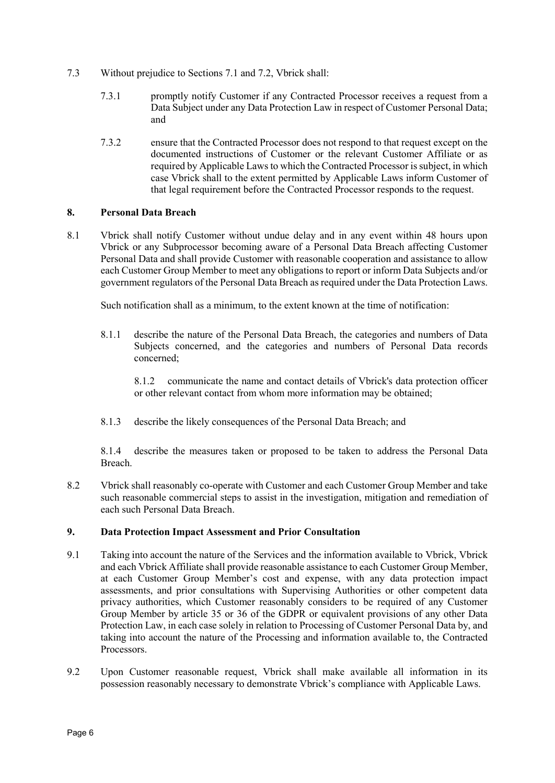- 7.3 Without prejudice to Sections 7.1 and 7.2, Vbrick shall:
	- 7.3.1 promptly notify Customer if any Contracted Processor receives a request from a Data Subject under any Data Protection Law in respect of Customer Personal Data; and
	- 7.3.2 ensure that the Contracted Processor does not respond to that request except on the documented instructions of Customer or the relevant Customer Affiliate or as required by Applicable Laws to which the Contracted Processor is subject, in which case Vbrick shall to the extent permitted by Applicable Laws inform Customer of that legal requirement before the Contracted Processor responds to the request.

### **8. Personal Data Breach**

8.1 Vbrick shall notify Customer without undue delay and in any event within 48 hours upon Vbrick or any Subprocessor becoming aware of a Personal Data Breach affecting Customer Personal Data and shall provide Customer with reasonable cooperation and assistance to allow each Customer Group Member to meet any obligations to report or inform Data Subjects and/or government regulators of the Personal Data Breach as required under the Data Protection Laws.

Such notification shall as a minimum, to the extent known at the time of notification:

8.1.1 describe the nature of the Personal Data Breach, the categories and numbers of Data Subjects concerned, and the categories and numbers of Personal Data records concerned;

8.1.2 communicate the name and contact details of Vbrick's data protection officer or other relevant contact from whom more information may be obtained;

8.1.3 describe the likely consequences of the Personal Data Breach; and

8.1.4 describe the measures taken or proposed to be taken to address the Personal Data Breach.

8.2 Vbrick shall reasonably co-operate with Customer and each Customer Group Member and take such reasonable commercial steps to assist in the investigation, mitigation and remediation of each such Personal Data Breach.

#### **9. Data Protection Impact Assessment and Prior Consultation**

- 9.1 Taking into account the nature of the Services and the information available to Vbrick, Vbrick and each Vbrick Affiliate shall provide reasonable assistance to each Customer Group Member, at each Customer Group Member's cost and expense, with any data protection impact assessments, and prior consultations with Supervising Authorities or other competent data privacy authorities, which Customer reasonably considers to be required of any Customer Group Member by article 35 or 36 of the GDPR or equivalent provisions of any other Data Protection Law, in each case solely in relation to Processing of Customer Personal Data by, and taking into account the nature of the Processing and information available to, the Contracted Processors.
- 9.2 Upon Customer reasonable request, Vbrick shall make available all information in its possession reasonably necessary to demonstrate Vbrick's compliance with Applicable Laws.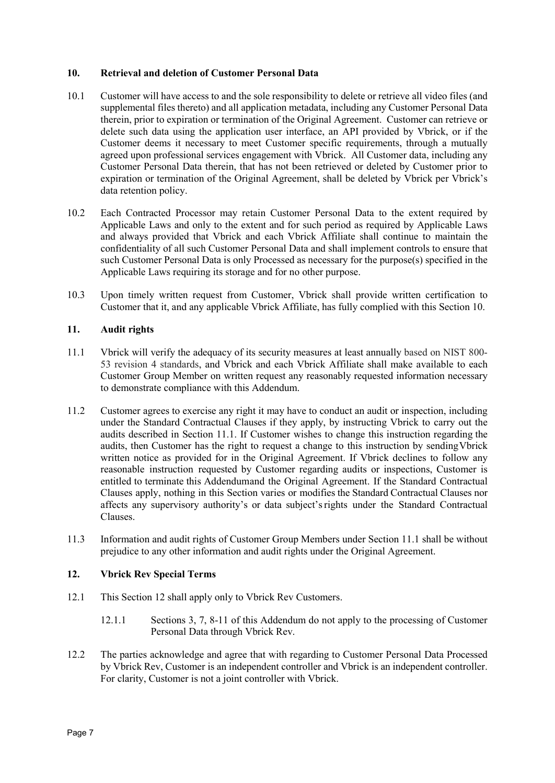#### <span id="page-6-0"></span>**10. Retrieval and deletion of Customer Personal Data**

- 10.1 Customer will have access to and the sole responsibility to delete or retrieve all video files (and supplemental files thereto) and all application metadata, including any Customer Personal Data therein, prior to expiration or termination of the Original Agreement. Customer can retrieve or delete such data using the application user interface, an API provided by Vbrick, or if the Customer deems it necessary to meet Customer specific requirements, through a mutually agreed upon professional services engagement with Vbrick. All Customer data, including any Customer Personal Data therein, that has not been retrieved or deleted by Customer prior to expiration or termination of the Original Agreement, shall be deleted by Vbrick per Vbrick's data retention policy.
- 10.2 Each Contracted Processor may retain Customer Personal Data to the extent required by Applicable Laws and only to the extent and for such period as required by Applicable Laws and always provided that Vbrick and each Vbrick Affiliate shall continue to maintain the confidentiality of all such Customer Personal Data and shall implement controls to ensure that such Customer Personal Data is only Processed as necessary for the purpose(s) specified in the Applicable Laws requiring its storage and for no other purpose.
- 10.3 Upon timely written request from Customer, Vbrick shall provide written certification to Customer that it, and any applicable Vbrick Affiliate, has fully complied with this Section [10.](#page-6-0)

#### **11. Audit rights**

- <span id="page-6-1"></span>11.1 Vbrick will verify the adequacy of its security measures at least annually based on NIST 800- 53 revision 4 standards, and Vbrick and each Vbrick Affiliate shall make available to each Customer Group Member on written request any reasonably requested information necessary to demonstrate compliance with this Addendum.
- 11.2 Customer agrees to exercise any right it may have to conduct an audit or inspection, including under the Standard Contractual Clauses if they apply, by instructing Vbrick to carry out the audits described in Section 11.1. If Customer wishes to change this instruction regarding the audits, then Customer has the right to request a change to this instruction by sendingVbrick written notice as provided for in the Original Agreement. If Vbrick declines to follow any reasonable instruction requested by Customer regarding audits or inspections, Customer is entitled to terminate this Addendumand the Original Agreement. If the Standard Contractual Clauses apply, nothing in this Section varies or modifies the Standard Contractual Clauses nor affects any supervisory authority's or data subject'srights under the Standard Contractual Clauses.
- 11.3 Information and audit rights of Customer Group Members under Section [11.1](#page-6-1) shall be without prejudice to any other information and audit rights under the Original Agreement.

## **12. Vbrick Rev Special Terms**

- 12.1 This Section 12 shall apply only to Vbrick Rev Customers.
	- 12.1.1 Sections 3, 7, 8-11 of this Addendum do not apply to the processing of Customer Personal Data through Vbrick Rev.
- 12.2 The parties acknowledge and agree that with regarding to Customer Personal Data Processed by Vbrick Rev, Customer is an independent controller and Vbrick is an independent controller. For clarity, Customer is not a joint controller with Vbrick.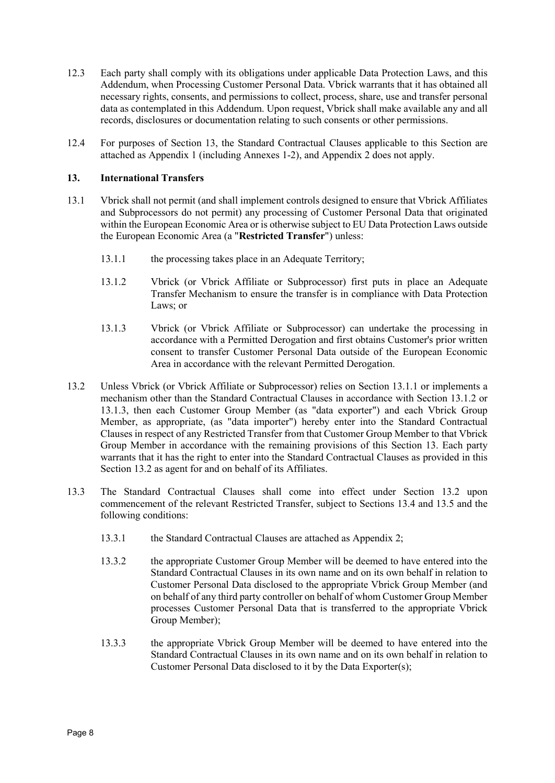- 12.3 Each party shall comply with its obligations under applicable Data Protection Laws, and this Addendum, when Processing Customer Personal Data. Vbrick warrants that it has obtained all necessary rights, consents, and permissions to collect, process, share, use and transfer personal data as contemplated in this Addendum. Upon request, Vbrick shall make available any and all records, disclosures or documentation relating to such consents or other permissions.
- 12.4 For purposes of Section 13, the Standard Contractual Clauses applicable to this Section are attached as Appendix 1 (including Annexes 1-2), and Appendix 2 does not apply.

#### **13. International Transfers**

- <span id="page-7-0"></span>13.1 Vbrick shall not permit (and shall implement controls designed to ensure that Vbrick Affiliates and Subprocessors do not permit) any processing of Customer Personal Data that originated within the European Economic Area or is otherwise subject to EU Data Protection Laws outside the European Economic Area (a "**Restricted Transfer**") unless:
	- 13.1.1 the processing takes place in an Adequate Territory;
	- 13.1.2 Vbrick (or Vbrick Affiliate or Subprocessor) first puts in place an Adequate Transfer Mechanism to ensure the transfer is in compliance with Data Protection Laws; or
	- 13.1.3 Vbrick (or Vbrick Affiliate or Subprocessor) can undertake the processing in accordance with a Permitted Derogation and first obtains Customer's prior written consent to transfer Customer Personal Data outside of the European Economic Area in accordance with the relevant Permitted Derogation.
- 13.2 Unless Vbrick (or Vbrick Affiliate or Subprocessor) relies on Section 13.1.1 or implements a mechanism other than the Standard Contractual Clauses in accordance with Section 13.1.2 or 13.1.3, then each Customer Group Member (as "data exporter") and each Vbrick Group Member, as appropriate, (as "data importer") hereby enter into the Standard Contractual Clauses in respect of any Restricted Transfer from that Customer Group Member to that Vbrick Group Member in accordance with the remaining provisions of this Section 13. Each party warrants that it has the right to enter into the Standard Contractual Clauses as provided in this Section 13.2 as agent for and on behalf of its Affiliates.
- 13.3 The Standard Contractual Clauses shall come into effect under Section [13.2](#page-7-0) upon commencement of the relevant Restricted Transfer, subject to Sections 13.4 and 13.5 and the following conditions:
	- 13.3.1 the Standard Contractual Clauses are attached as Appendix 2;
	- 13.3.2 the appropriate Customer Group Member will be deemed to have entered into the Standard Contractual Clauses in its own name and on its own behalf in relation to Customer Personal Data disclosed to the appropriate Vbrick Group Member (and on behalf of any third party controller on behalf of whom Customer Group Member processes Customer Personal Data that is transferred to the appropriate Vbrick Group Member);
	- 13.3.3 the appropriate Vbrick Group Member will be deemed to have entered into the Standard Contractual Clauses in its own name and on its own behalf in relation to Customer Personal Data disclosed to it by the Data Exporter(s);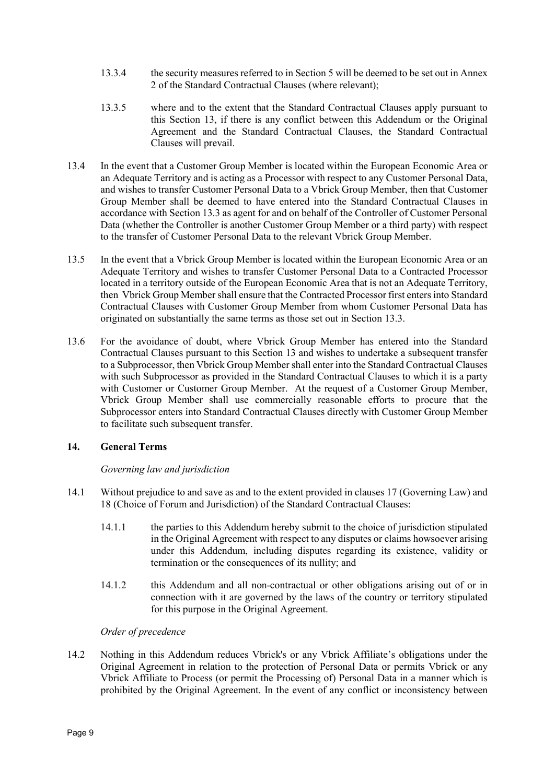- 13.3.4 the security measures referred to in Section 5 will be deemed to be set out in Annex 2 of the Standard Contractual Clauses (where relevant);
- 13.3.5 where and to the extent that the Standard Contractual Clauses apply pursuant to this Section 13, if there is any conflict between this Addendum or the Original Agreement and the Standard Contractual Clauses, the Standard Contractual Clauses will prevail.
- 13.4 In the event that a Customer Group Member is located within the European Economic Area or an Adequate Territory and is acting as a Processor with respect to any Customer Personal Data, and wishes to transfer Customer Personal Data to a Vbrick Group Member, then that Customer Group Member shall be deemed to have entered into the Standard Contractual Clauses in accordance with Section 13.3 as agent for and on behalf of the Controller of Customer Personal Data (whether the Controller is another Customer Group Member or a third party) with respect to the transfer of Customer Personal Data to the relevant Vbrick Group Member.
- 13.5 In the event that a Vbrick Group Member is located within the European Economic Area or an Adequate Territory and wishes to transfer Customer Personal Data to a Contracted Processor located in a territory outside of the European Economic Area that is not an Adequate Territory, then Vbrick Group Member shall ensure that the Contracted Processor first enters into Standard Contractual Clauses with Customer Group Member from whom Customer Personal Data has originated on substantially the same terms as those set out in Section 13.3.
- 13.6 For the avoidance of doubt, where Vbrick Group Member has entered into the Standard Contractual Clauses pursuant to this Section 13 and wishes to undertake a subsequent transfer to a Subprocessor, then Vbrick Group Member shall enter into the Standard Contractual Clauses with such Subprocessor as provided in the Standard Contractual Clauses to which it is a party with Customer or Customer Group Member. At the request of a Customer Group Member, Vbrick Group Member shall use commercially reasonable efforts to procure that the Subprocessor enters into Standard Contractual Clauses directly with Customer Group Member to facilitate such subsequent transfer.

#### **14. General Terms**

#### *Governing law and jurisdiction*

- 14.1 Without prejudice to and save as and to the extent provided in clauses 17 (Governing Law) and 18 (Choice of Forum and Jurisdiction) of the Standard Contractual Clauses:
	- 14.1.1 the parties to this Addendum hereby submit to the choice of jurisdiction stipulated in the Original Agreement with respect to any disputes or claims howsoever arising under this Addendum, including disputes regarding its existence, validity or termination or the consequences of its nullity; and
	- 14.1.2 this Addendum and all non-contractual or other obligations arising out of or in connection with it are governed by the laws of the country or territory stipulated for this purpose in the Original Agreement.

#### *Order of precedence*

<span id="page-8-0"></span>14.2 Nothing in this Addendum reduces Vbrick's or any Vbrick Affiliate's obligations under the Original Agreement in relation to the protection of Personal Data or permits Vbrick or any Vbrick Affiliate to Process (or permit the Processing of) Personal Data in a manner which is prohibited by the Original Agreement. In the event of any conflict or inconsistency between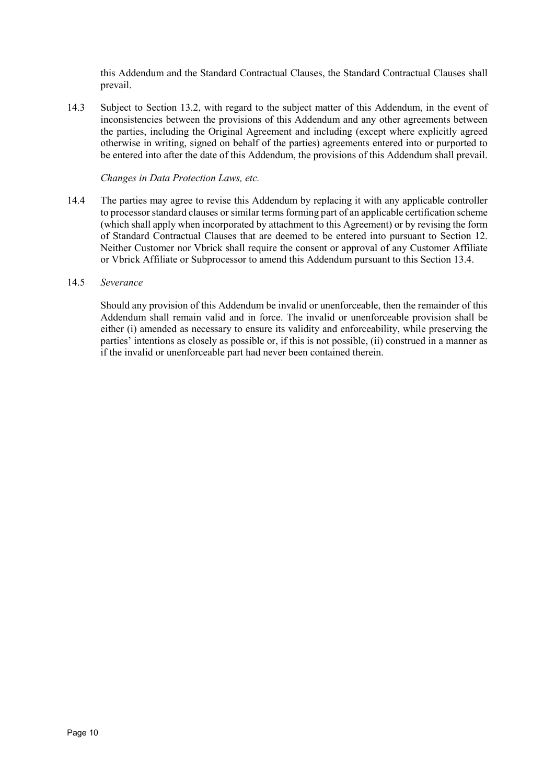this Addendum and the Standard Contractual Clauses, the Standard Contractual Clauses shall prevail.

14.3 Subject to Section [13.2,](#page-8-0) with regard to the subject matter of this Addendum, in the event of inconsistencies between the provisions of this Addendum and any other agreements between the parties, including the Original Agreement and including (except where explicitly agreed otherwise in writing, signed on behalf of the parties) agreements entered into or purported to be entered into after the date of this Addendum, the provisions of this Addendum shall prevail.

*Changes in Data Protection Laws, etc.*

14.4 The parties may agree to revise this Addendum by replacing it with any applicable controller to processor standard clauses or similar terms forming part of an applicable certification scheme (which shall apply when incorporated by attachment to this Agreement) or by revising the form of Standard Contractual Clauses that are deemed to be entered into pursuant to Section 12. Neither Customer nor Vbrick shall require the consent or approval of any Customer Affiliate or Vbrick Affiliate or Subprocessor to amend this Addendum pursuant to this Section 13.4.

#### 14.5 *Severance*

Should any provision of this Addendum be invalid or unenforceable, then the remainder of this Addendum shall remain valid and in force. The invalid or unenforceable provision shall be either (i) amended as necessary to ensure its validity and enforceability, while preserving the parties' intentions as closely as possible or, if this is not possible, (ii) construed in a manner as if the invalid or unenforceable part had never been contained therein.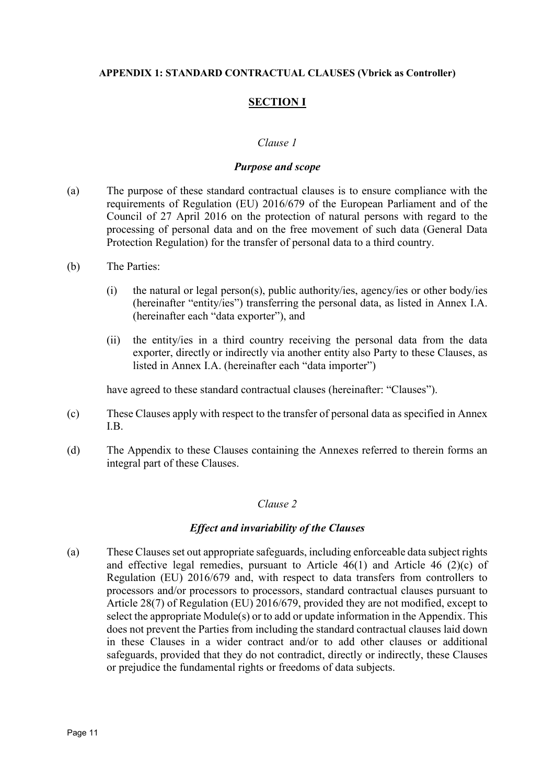### **APPENDIX 1: STANDARD CONTRACTUAL CLAUSES (Vbrick as Controller)**

# **SECTION I**

### *Clause 1*

### *Purpose and scope*

- (a) The purpose of these standard contractual clauses is to ensure compliance with the requirements of Regulation (EU) 2016/679 of the European Parliament and of the Council of 27 April 2016 on the protection of natural persons with regard to the processing of personal data and on the free movement of such data (General Data Protection Regulation) for the transfer of personal data to a third country.
- (b) The Parties:
	- (i) the natural or legal person(s), public authority/ies, agency/ies or other body/ies (hereinafter "entity/ies") transferring the personal data, as listed in Annex I.A. (hereinafter each "data exporter"), and
	- (ii) the entity/ies in a third country receiving the personal data from the data exporter, directly or indirectly via another entity also Party to these Clauses, as listed in Annex I.A. (hereinafter each "data importer")

have agreed to these standard contractual clauses (hereinafter: "Clauses").

- (c) These Clauses apply with respect to the transfer of personal data as specified in Annex I.B.
- (d) The Appendix to these Clauses containing the Annexes referred to therein forms an integral part of these Clauses.

## *Clause 2*

## *Effect and invariability of the Clauses*

(a) These Clauses set out appropriate safeguards, including enforceable data subject rights and effective legal remedies, pursuant to Article 46(1) and Article 46 (2)(c) of Regulation (EU) 2016/679 and, with respect to data transfers from controllers to processors and/or processors to processors, standard contractual clauses pursuant to Article 28(7) of Regulation (EU) 2016/679, provided they are not modified, except to select the appropriate Module(s) or to add or update information in the Appendix. This does not prevent the Parties from including the standard contractual clauses laid down in these Clauses in a wider contract and/or to add other clauses or additional safeguards, provided that they do not contradict, directly or indirectly, these Clauses or prejudice the fundamental rights or freedoms of data subjects.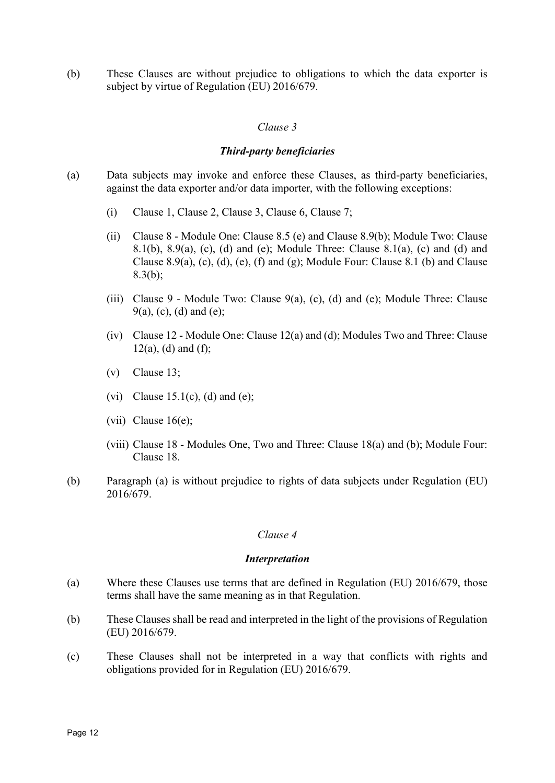(b) These Clauses are without prejudice to obligations to which the data exporter is subject by virtue of Regulation (EU) 2016/679.

### *Clause 3*

#### *Third-party beneficiaries*

- (a) Data subjects may invoke and enforce these Clauses, as third-party beneficiaries, against the data exporter and/or data importer, with the following exceptions:
	- (i) Clause 1, Clause 2, Clause 3, Clause 6, Clause 7;
	- (ii) Clause 8 Module One: Clause 8.5 (e) and Clause 8.9(b); Module Two: Clause 8.1(b), 8.9(a), (c), (d) and (e); Module Three: Clause 8.1(a), (c) and (d) and Clause 8.9(a), (c), (d), (e), (f) and (g); Module Four: Clause 8.1 (b) and Clause 8.3(b);
	- (iii) Clause 9 Module Two: Clause 9(a), (c), (d) and (e); Module Three: Clause  $9(a)$ , (c), (d) and (e);
	- (iv) Clause 12 Module One: Clause 12(a) and (d); Modules Two and Three: Clause  $12(a)$ , (d) and (f);
	- (v) Clause 13;
	- (vi) Clause 15.1(c), (d) and (e);
	- (vii) Clause  $16(e)$ ;
	- (viii) Clause 18 Modules One, Two and Three: Clause 18(a) and (b); Module Four: Clause 18.
- (b) Paragraph (a) is without prejudice to rights of data subjects under Regulation (EU) 2016/679.

#### *Clause 4*

#### *Interpretation*

- (a) Where these Clauses use terms that are defined in Regulation (EU) 2016/679, those terms shall have the same meaning as in that Regulation.
- (b) These Clauses shall be read and interpreted in the light of the provisions of Regulation (EU) 2016/679.
- (c) These Clauses shall not be interpreted in a way that conflicts with rights and obligations provided for in Regulation (EU) 2016/679.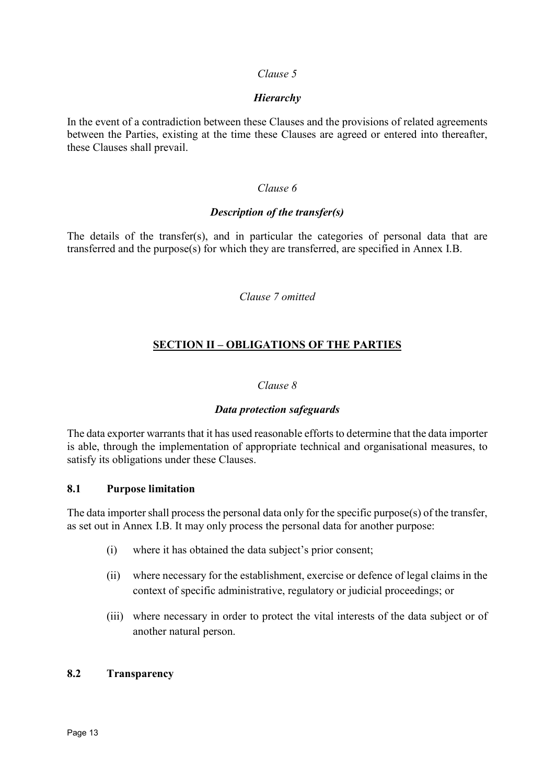## *Clause 5*

### *Hierarchy*

In the event of a contradiction between these Clauses and the provisions of related agreements between the Parties, existing at the time these Clauses are agreed or entered into thereafter, these Clauses shall prevail.

## *Clause 6*

### *Description of the transfer(s)*

The details of the transfer(s), and in particular the categories of personal data that are transferred and the purpose(s) for which they are transferred, are specified in Annex I.B.

## *Clause 7 omitted*

## **SECTION II – OBLIGATIONS OF THE PARTIES**

### *Clause 8*

## *Data protection safeguards*

The data exporter warrants that it has used reasonable efforts to determine that the data importer is able, through the implementation of appropriate technical and organisational measures, to satisfy its obligations under these Clauses.

### **8.1 Purpose limitation**

The data importer shall process the personal data only for the specific purpose(s) of the transfer, as set out in Annex I.B. It may only process the personal data for another purpose:

- (i) where it has obtained the data subject's prior consent;
- (ii) where necessary for the establishment, exercise or defence of legal claims in the context of specific administrative, regulatory or judicial proceedings; or
- (iii) where necessary in order to protect the vital interests of the data subject or of another natural person.

## **8.2 Transparency**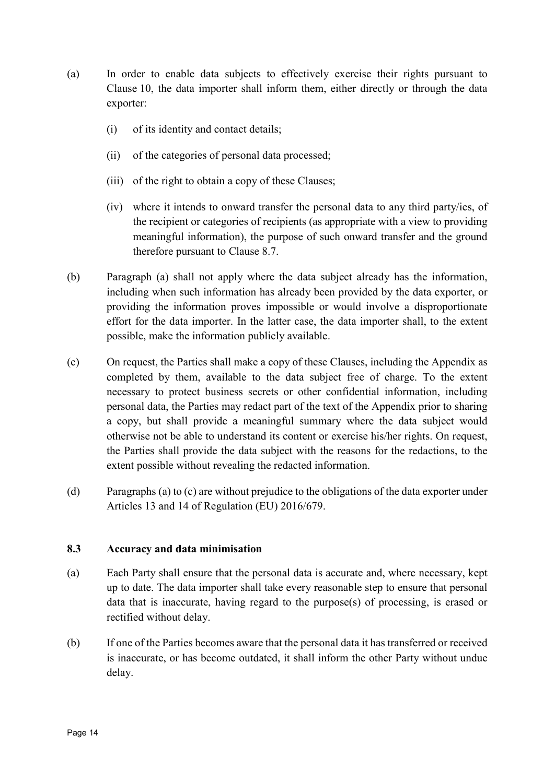- (a) In order to enable data subjects to effectively exercise their rights pursuant to Clause 10, the data importer shall inform them, either directly or through the data exporter:
	- (i) of its identity and contact details;
	- (ii) of the categories of personal data processed;
	- (iii) of the right to obtain a copy of these Clauses;
	- (iv) where it intends to onward transfer the personal data to any third party/ies, of the recipient or categories of recipients (as appropriate with a view to providing meaningful information), the purpose of such onward transfer and the ground therefore pursuant to Clause 8.7.
- (b) Paragraph (a) shall not apply where the data subject already has the information, including when such information has already been provided by the data exporter, or providing the information proves impossible or would involve a disproportionate effort for the data importer. In the latter case, the data importer shall, to the extent possible, make the information publicly available.
- (c) On request, the Parties shall make a copy of these Clauses, including the Appendix as completed by them, available to the data subject free of charge. To the extent necessary to protect business secrets or other confidential information, including personal data, the Parties may redact part of the text of the Appendix prior to sharing a copy, but shall provide a meaningful summary where the data subject would otherwise not be able to understand its content or exercise his/her rights. On request, the Parties shall provide the data subject with the reasons for the redactions, to the extent possible without revealing the redacted information.
- (d) Paragraphs (a) to (c) are without prejudice to the obligations of the data exporter under Articles 13 and 14 of Regulation (EU) 2016/679.

## **8.3 Accuracy and data minimisation**

- (a) Each Party shall ensure that the personal data is accurate and, where necessary, kept up to date. The data importer shall take every reasonable step to ensure that personal data that is inaccurate, having regard to the purpose(s) of processing, is erased or rectified without delay.
- (b) If one of the Parties becomes aware that the personal data it has transferred or received is inaccurate, or has become outdated, it shall inform the other Party without undue delay.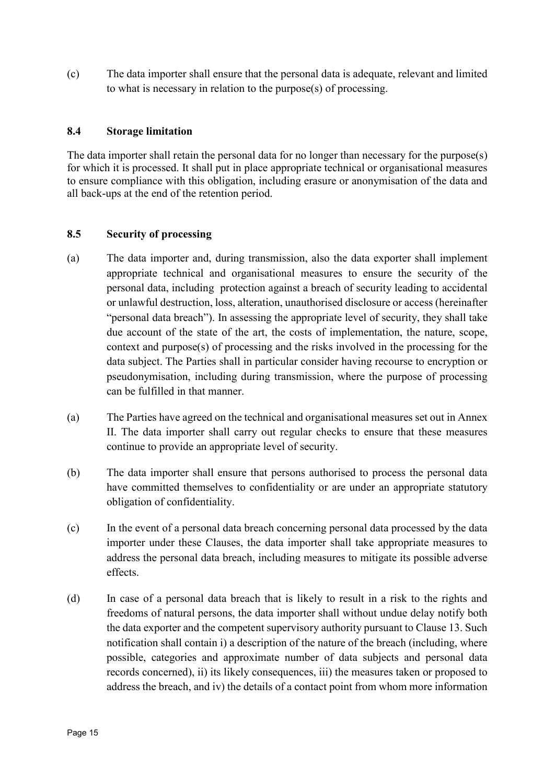(c) The data importer shall ensure that the personal data is adequate, relevant and limited to what is necessary in relation to the purpose(s) of processing.

## **8.4 Storage limitation**

The data importer shall retain the personal data for no longer than necessary for the purpose(s) for which it is processed. It shall put in place appropriate technical or organisational measures to ensure compliance with this obligation, including erasure or anonymisation of the data and all back-ups at the end of the retention period.

## **8.5 Security of processing**

- (a) The data importer and, during transmission, also the data exporter shall implement appropriate technical and organisational measures to ensure the security of the personal data, including protection against a breach of security leading to accidental or unlawful destruction, loss, alteration, unauthorised disclosure or access (hereinafter "personal data breach"). In assessing the appropriate level of security, they shall take due account of the state of the art, the costs of implementation, the nature, scope, context and purpose(s) of processing and the risks involved in the processing for the data subject. The Parties shall in particular consider having recourse to encryption or pseudonymisation, including during transmission, where the purpose of processing can be fulfilled in that manner.
- (a) The Parties have agreed on the technical and organisational measures set out in Annex II. The data importer shall carry out regular checks to ensure that these measures continue to provide an appropriate level of security.
- (b) The data importer shall ensure that persons authorised to process the personal data have committed themselves to confidentiality or are under an appropriate statutory obligation of confidentiality.
- (c) In the event of a personal data breach concerning personal data processed by the data importer under these Clauses, the data importer shall take appropriate measures to address the personal data breach, including measures to mitigate its possible adverse effects.
- (d) In case of a personal data breach that is likely to result in a risk to the rights and freedoms of natural persons, the data importer shall without undue delay notify both the data exporter and the competent supervisory authority pursuant to Clause 13. Such notification shall contain i) a description of the nature of the breach (including, where possible, categories and approximate number of data subjects and personal data records concerned), ii) its likely consequences, iii) the measures taken or proposed to address the breach, and iv) the details of a contact point from whom more information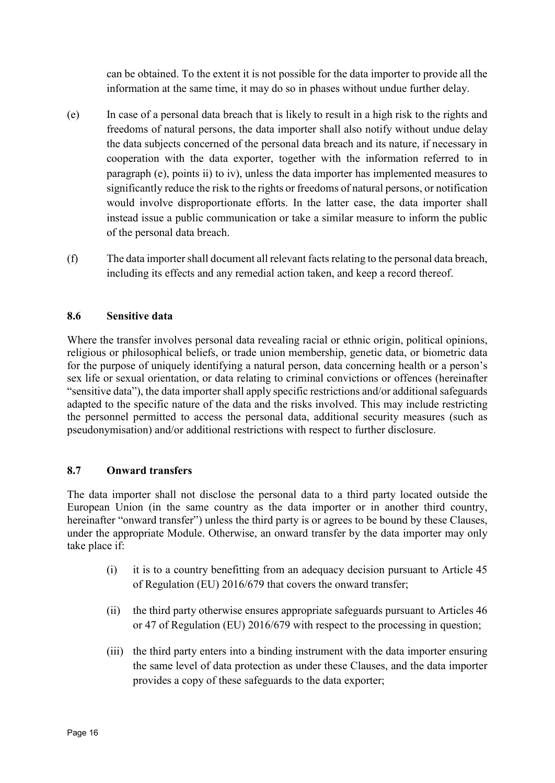can be obtained. To the extent it is not possible for the data importer to provide all the information at the same time, it may do so in phases without undue further delay.

- (e) In case of a personal data breach that is likely to result in a high risk to the rights and freedoms of natural persons, the data importer shall also notify without undue delay the data subjects concerned of the personal data breach and its nature, if necessary in cooperation with the data exporter, together with the information referred to in paragraph (e), points ii) to iv), unless the data importer has implemented measures to significantly reduce the risk to the rights or freedoms of natural persons, or notification would involve disproportionate efforts. In the latter case, the data importer shall instead issue a public communication or take a similar measure to inform the public of the personal data breach.
- (f) The data importer shall document all relevant facts relating to the personal data breach, including its effects and any remedial action taken, and keep a record thereof.

## **8.6 Sensitive data**

Where the transfer involves personal data revealing racial or ethnic origin, political opinions, religious or philosophical beliefs, or trade union membership, genetic data, or biometric data for the purpose of uniquely identifying a natural person, data concerning health or a person's sex life or sexual orientation, or data relating to criminal convictions or offences (hereinafter "sensitive data"), the data importer shall apply specific restrictions and/or additional safeguards adapted to the specific nature of the data and the risks involved. This may include restricting the personnel permitted to access the personal data, additional security measures (such as pseudonymisation) and/or additional restrictions with respect to further disclosure.

# **8.7 Onward transfers**

The data importer shall not disclose the personal data to a third party located outside the European Union (in the same country as the data importer or in another third country, hereinafter "onward transfer") unless the third party is or agrees to be bound by these Clauses, under the appropriate Module. Otherwise, an onward transfer by the data importer may only take place if:

- (i) it is to a country benefitting from an adequacy decision pursuant to Article 45 of Regulation (EU) 2016/679 that covers the onward transfer;
- (ii) the third party otherwise ensures appropriate safeguards pursuant to Articles 46 or 47 of Regulation (EU) 2016/679 with respect to the processing in question;
- (iii) the third party enters into a binding instrument with the data importer ensuring the same level of data protection as under these Clauses, and the data importer provides a copy of these safeguards to the data exporter;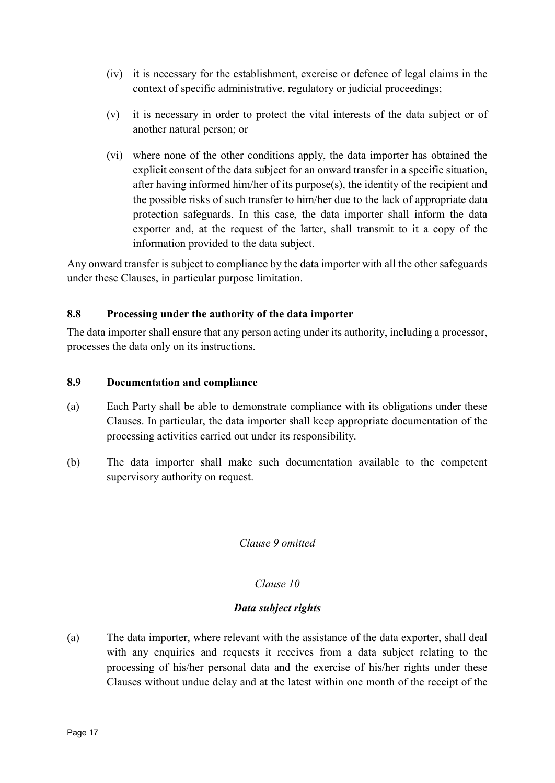- (iv) it is necessary for the establishment, exercise or defence of legal claims in the context of specific administrative, regulatory or judicial proceedings;
- (v) it is necessary in order to protect the vital interests of the data subject or of another natural person; or
- (vi) where none of the other conditions apply, the data importer has obtained the explicit consent of the data subject for an onward transfer in a specific situation, after having informed him/her of its purpose(s), the identity of the recipient and the possible risks of such transfer to him/her due to the lack of appropriate data protection safeguards. In this case, the data importer shall inform the data exporter and, at the request of the latter, shall transmit to it a copy of the information provided to the data subject.

Any onward transfer is subject to compliance by the data importer with all the other safeguards under these Clauses, in particular purpose limitation.

# **8.8 Processing under the authority of the data importer**

The data importer shall ensure that any person acting under its authority, including a processor, processes the data only on its instructions.

# **8.9 Documentation and compliance**

- (a) Each Party shall be able to demonstrate compliance with its obligations under these Clauses. In particular, the data importer shall keep appropriate documentation of the processing activities carried out under its responsibility.
- (b) The data importer shall make such documentation available to the competent supervisory authority on request.

# *Clause 9 omitted*

# *Clause 10*

## *Data subject rights*

(a) The data importer, where relevant with the assistance of the data exporter, shall deal with any enquiries and requests it receives from a data subject relating to the processing of his/her personal data and the exercise of his/her rights under these Clauses without undue delay and at the latest within one month of the receipt of the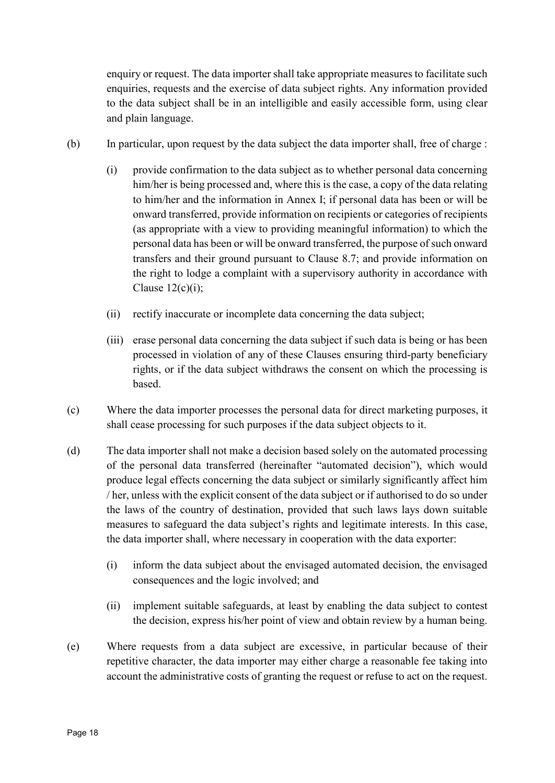enquiry or request. The data importer shall take appropriate measures to facilitate such enquiries, requests and the exercise of data subject rights. Any information provided to the data subject shall be in an intelligible and easily accessible form, using clear and plain language.

- (b) In particular, upon request by the data subject the data importer shall, free of charge :
	- (i) provide confirmation to the data subject as to whether personal data concerning him/her is being processed and, where this is the case, a copy of the data relating to him/her and the information in Annex I; if personal data has been or will be onward transferred, provide information on recipients or categories of recipients (as appropriate with a view to providing meaningful information) to which the personal data has been or will be onward transferred, the purpose of such onward transfers and their ground pursuant to Clause 8.7; and provide information on the right to lodge a complaint with a supervisory authority in accordance with Clause  $12(c)(i)$ ;
	- (ii) rectify inaccurate or incomplete data concerning the data subject;
	- (iii) erase personal data concerning the data subject if such data is being or has been processed in violation of any of these Clauses ensuring third-party beneficiary rights, or if the data subject withdraws the consent on which the processing is based.
- (c) Where the data importer processes the personal data for direct marketing purposes, it shall cease processing for such purposes if the data subject objects to it.
- (d) The data importer shall not make a decision based solely on the automated processing of the personal data transferred (hereinafter "automated decision"), which would produce legal effects concerning the data subject or similarly significantly affect him / her, unless with the explicit consent of the data subject or if authorised to do so under the laws of the country of destination, provided that such laws lays down suitable measures to safeguard the data subject's rights and legitimate interests. In this case, the data importer shall, where necessary in cooperation with the data exporter:
	- (i) inform the data subject about the envisaged automated decision, the envisaged consequences and the logic involved; and
	- (ii) implement suitable safeguards, at least by enabling the data subject to contest the decision, express his/her point of view and obtain review by a human being.
- (e) Where requests from a data subject are excessive, in particular because of their repetitive character, the data importer may either charge a reasonable fee taking into account the administrative costs of granting the request or refuse to act on the request.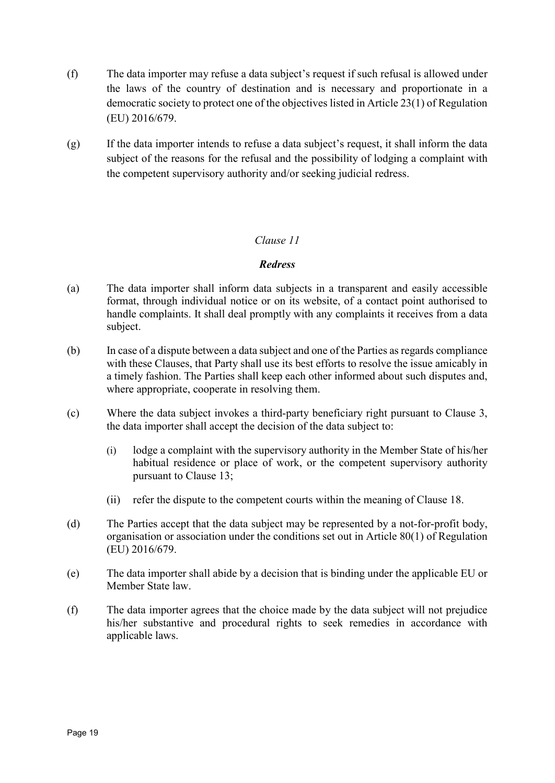- (f) The data importer may refuse a data subject's request if such refusal is allowed under the laws of the country of destination and is necessary and proportionate in a democratic society to protect one of the objectives listed in Article 23(1) of Regulation (EU) 2016/679.
- (g) If the data importer intends to refuse a data subject's request, it shall inform the data subject of the reasons for the refusal and the possibility of lodging a complaint with the competent supervisory authority and/or seeking judicial redress.

## *Clause 11*

## *Redress*

- (a) The data importer shall inform data subjects in a transparent and easily accessible format, through individual notice or on its website, of a contact point authorised to handle complaints. It shall deal promptly with any complaints it receives from a data subject.
- (b) In case of a dispute between a data subject and one of the Parties as regards compliance with these Clauses, that Party shall use its best efforts to resolve the issue amicably in a timely fashion. The Parties shall keep each other informed about such disputes and, where appropriate, cooperate in resolving them.
- (c) Where the data subject invokes a third-party beneficiary right pursuant to Clause 3, the data importer shall accept the decision of the data subject to:
	- (i) lodge a complaint with the supervisory authority in the Member State of his/her habitual residence or place of work, or the competent supervisory authority pursuant to Clause 13;
	- (ii) refer the dispute to the competent courts within the meaning of Clause 18.
- (d) The Parties accept that the data subject may be represented by a not-for-profit body, organisation or association under the conditions set out in Article 80(1) of Regulation (EU) 2016/679.
- (e) The data importer shall abide by a decision that is binding under the applicable EU or Member State law.
- (f) The data importer agrees that the choice made by the data subject will not prejudice his/her substantive and procedural rights to seek remedies in accordance with applicable laws.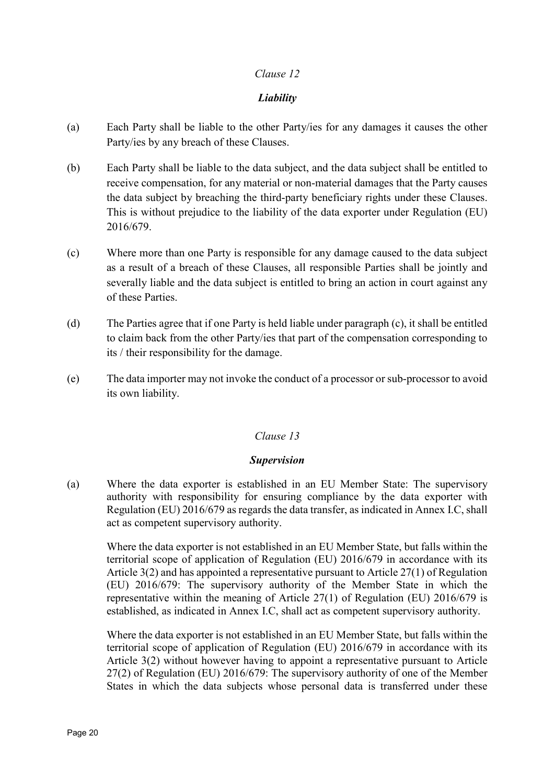## *Clause 12*

## *Liability*

- (a) Each Party shall be liable to the other Party/ies for any damages it causes the other Party/ies by any breach of these Clauses.
- (b) Each Party shall be liable to the data subject, and the data subject shall be entitled to receive compensation, for any material or non-material damages that the Party causes the data subject by breaching the third-party beneficiary rights under these Clauses. This is without prejudice to the liability of the data exporter under Regulation (EU) 2016/679.
- (c) Where more than one Party is responsible for any damage caused to the data subject as a result of a breach of these Clauses, all responsible Parties shall be jointly and severally liable and the data subject is entitled to bring an action in court against any of these Parties.
- (d) The Parties agree that if one Party is held liable under paragraph (c), it shall be entitled to claim back from the other Party/ies that part of the compensation corresponding to its / their responsibility for the damage.
- (e) The data importer may not invoke the conduct of a processor or sub-processor to avoid its own liability.

# *Clause 13*

## *Supervision*

(a) Where the data exporter is established in an EU Member State: The supervisory authority with responsibility for ensuring compliance by the data exporter with Regulation (EU) 2016/679 as regards the data transfer, as indicated in Annex I.C, shall act as competent supervisory authority.

Where the data exporter is not established in an EU Member State, but falls within the territorial scope of application of Regulation (EU) 2016/679 in accordance with its Article 3(2) and has appointed a representative pursuant to Article 27(1) of Regulation (EU) 2016/679: The supervisory authority of the Member State in which the representative within the meaning of Article 27(1) of Regulation (EU) 2016/679 is established, as indicated in Annex I.C, shall act as competent supervisory authority.

Where the data exporter is not established in an EU Member State, but falls within the territorial scope of application of Regulation (EU) 2016/679 in accordance with its Article 3(2) without however having to appoint a representative pursuant to Article 27(2) of Regulation (EU) 2016/679: The supervisory authority of one of the Member States in which the data subjects whose personal data is transferred under these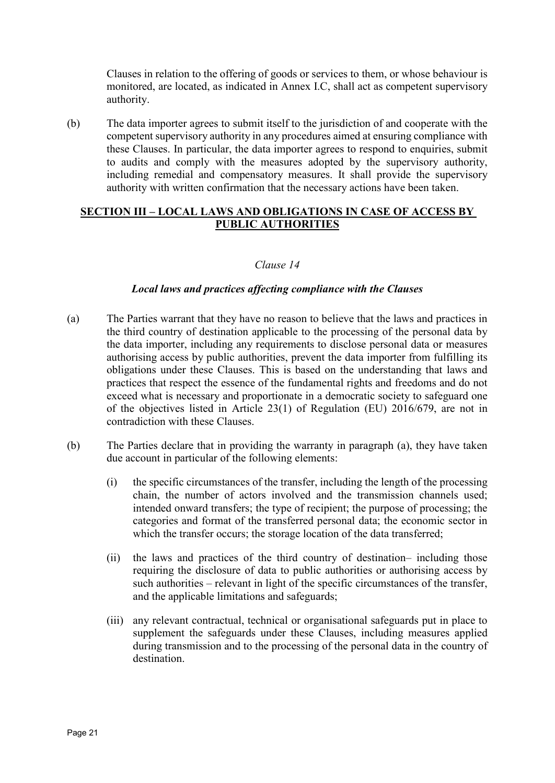Clauses in relation to the offering of goods or services to them, or whose behaviour is monitored, are located, as indicated in Annex I.C, shall act as competent supervisory authority.

(b) The data importer agrees to submit itself to the jurisdiction of and cooperate with the competent supervisory authority in any procedures aimed at ensuring compliance with these Clauses. In particular, the data importer agrees to respond to enquiries, submit to audits and comply with the measures adopted by the supervisory authority, including remedial and compensatory measures. It shall provide the supervisory authority with written confirmation that the necessary actions have been taken.

## **SECTION III – LOCAL LAWS AND OBLIGATIONS IN CASE OF ACCESS BY PUBLIC AUTHORITIES**

## *Clause 14*

### *Local laws and practices affecting compliance with the Clauses*

- (a) The Parties warrant that they have no reason to believe that the laws and practices in the third country of destination applicable to the processing of the personal data by the data importer, including any requirements to disclose personal data or measures authorising access by public authorities, prevent the data importer from fulfilling its obligations under these Clauses. This is based on the understanding that laws and practices that respect the essence of the fundamental rights and freedoms and do not exceed what is necessary and proportionate in a democratic society to safeguard one of the objectives listed in Article 23(1) of Regulation (EU) 2016/679, are not in contradiction with these Clauses.
- (b) The Parties declare that in providing the warranty in paragraph (a), they have taken due account in particular of the following elements:
	- (i) the specific circumstances of the transfer, including the length of the processing chain, the number of actors involved and the transmission channels used; intended onward transfers; the type of recipient; the purpose of processing; the categories and format of the transferred personal data; the economic sector in which the transfer occurs; the storage location of the data transferred;
	- (ii) the laws and practices of the third country of destination– including those requiring the disclosure of data to public authorities or authorising access by such authorities – relevant in light of the specific circumstances of the transfer, and the applicable limitations and safeguards;
	- (iii) any relevant contractual, technical or organisational safeguards put in place to supplement the safeguards under these Clauses, including measures applied during transmission and to the processing of the personal data in the country of destination.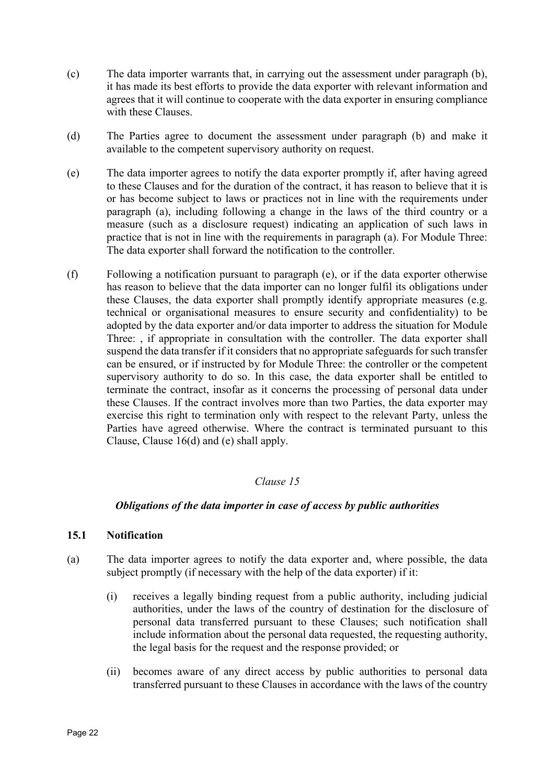- (c) The data importer warrants that, in carrying out the assessment under paragraph (b), it has made its best efforts to provide the data exporter with relevant information and agrees that it will continue to cooperate with the data exporter in ensuring compliance with these Clauses.
- (d) The Parties agree to document the assessment under paragraph (b) and make it available to the competent supervisory authority on request.
- (e) The data importer agrees to notify the data exporter promptly if, after having agreed to these Clauses and for the duration of the contract, it has reason to believe that it is or has become subject to laws or practices not in line with the requirements under paragraph (a), including following a change in the laws of the third country or a measure (such as a disclosure request) indicating an application of such laws in practice that is not in line with the requirements in paragraph (a). For Module Three: The data exporter shall forward the notification to the controller.
- (f) Following a notification pursuant to paragraph (e), or if the data exporter otherwise has reason to believe that the data importer can no longer fulfil its obligations under these Clauses, the data exporter shall promptly identify appropriate measures (e.g. technical or organisational measures to ensure security and confidentiality) to be adopted by the data exporter and/or data importer to address the situation for Module Three: , if appropriate in consultation with the controller. The data exporter shall suspend the data transfer if it considers that no appropriate safeguards for such transfer can be ensured, or if instructed by for Module Three: the controller or the competent supervisory authority to do so. In this case, the data exporter shall be entitled to terminate the contract, insofar as it concerns the processing of personal data under these Clauses. If the contract involves more than two Parties, the data exporter may exercise this right to termination only with respect to the relevant Party, unless the Parties have agreed otherwise. Where the contract is terminated pursuant to this Clause, Clause 16(d) and (e) shall apply.

# *Clause 15*

## *Obligations of the data importer in case of access by public authorities*

## **15.1 Notification**

- (a) The data importer agrees to notify the data exporter and, where possible, the data subject promptly (if necessary with the help of the data exporter) if it:
	- (i) receives a legally binding request from a public authority, including judicial authorities, under the laws of the country of destination for the disclosure of personal data transferred pursuant to these Clauses; such notification shall include information about the personal data requested, the requesting authority, the legal basis for the request and the response provided; or
	- (ii) becomes aware of any direct access by public authorities to personal data transferred pursuant to these Clauses in accordance with the laws of the country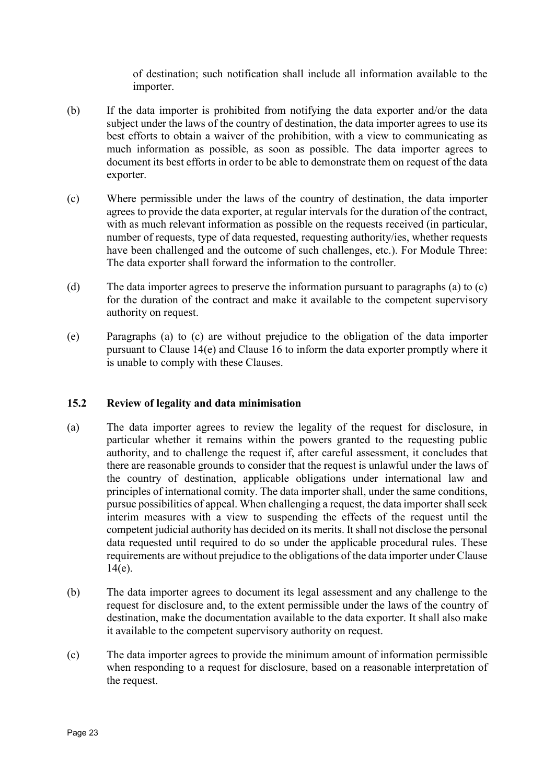of destination; such notification shall include all information available to the importer.

- (b) If the data importer is prohibited from notifying the data exporter and/or the data subject under the laws of the country of destination, the data importer agrees to use its best efforts to obtain a waiver of the prohibition, with a view to communicating as much information as possible, as soon as possible. The data importer agrees to document its best efforts in order to be able to demonstrate them on request of the data exporter.
- (c) Where permissible under the laws of the country of destination, the data importer agrees to provide the data exporter, at regular intervals for the duration of the contract, with as much relevant information as possible on the requests received (in particular, number of requests, type of data requested, requesting authority/ies, whether requests have been challenged and the outcome of such challenges, etc.). For Module Three: The data exporter shall forward the information to the controller.
- (d) The data importer agrees to preserve the information pursuant to paragraphs (a) to (c) for the duration of the contract and make it available to the competent supervisory authority on request.
- (e) Paragraphs (a) to (c) are without prejudice to the obligation of the data importer pursuant to Clause 14(e) and Clause 16 to inform the data exporter promptly where it is unable to comply with these Clauses.

# **15.2 Review of legality and data minimisation**

- (a) The data importer agrees to review the legality of the request for disclosure, in particular whether it remains within the powers granted to the requesting public authority, and to challenge the request if, after careful assessment, it concludes that there are reasonable grounds to consider that the request is unlawful under the laws of the country of destination, applicable obligations under international law and principles of international comity. The data importer shall, under the same conditions, pursue possibilities of appeal. When challenging a request, the data importer shall seek interim measures with a view to suspending the effects of the request until the competent judicial authority has decided on its merits. It shall not disclose the personal data requested until required to do so under the applicable procedural rules. These requirements are without prejudice to the obligations of the data importer under Clause 14(e).
- (b) The data importer agrees to document its legal assessment and any challenge to the request for disclosure and, to the extent permissible under the laws of the country of destination, make the documentation available to the data exporter. It shall also make it available to the competent supervisory authority on request.
- (c) The data importer agrees to provide the minimum amount of information permissible when responding to a request for disclosure, based on a reasonable interpretation of the request.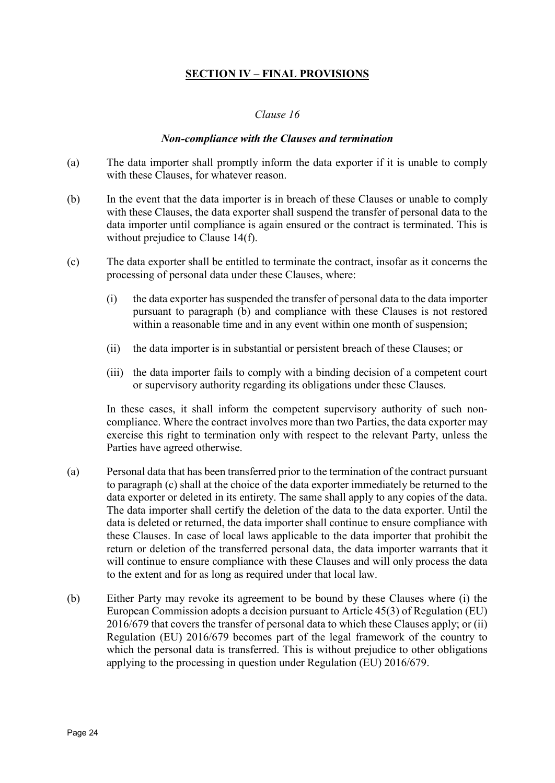# **SECTION IV – FINAL PROVISIONS**

## *Clause 16*

### *Non-compliance with the Clauses and termination*

- (a) The data importer shall promptly inform the data exporter if it is unable to comply with these Clauses, for whatever reason.
- (b) In the event that the data importer is in breach of these Clauses or unable to comply with these Clauses, the data exporter shall suspend the transfer of personal data to the data importer until compliance is again ensured or the contract is terminated. This is without prejudice to Clause 14(f).
- (c) The data exporter shall be entitled to terminate the contract, insofar as it concerns the processing of personal data under these Clauses, where:
	- (i) the data exporter has suspended the transfer of personal data to the data importer pursuant to paragraph (b) and compliance with these Clauses is not restored within a reasonable time and in any event within one month of suspension;
	- (ii) the data importer is in substantial or persistent breach of these Clauses; or
	- (iii) the data importer fails to comply with a binding decision of a competent court or supervisory authority regarding its obligations under these Clauses.

In these cases, it shall inform the competent supervisory authority of such noncompliance. Where the contract involves more than two Parties, the data exporter may exercise this right to termination only with respect to the relevant Party, unless the Parties have agreed otherwise.

- (a) Personal data that has been transferred prior to the termination of the contract pursuant to paragraph (c) shall at the choice of the data exporter immediately be returned to the data exporter or deleted in its entirety. The same shall apply to any copies of the data. The data importer shall certify the deletion of the data to the data exporter. Until the data is deleted or returned, the data importer shall continue to ensure compliance with these Clauses. In case of local laws applicable to the data importer that prohibit the return or deletion of the transferred personal data, the data importer warrants that it will continue to ensure compliance with these Clauses and will only process the data to the extent and for as long as required under that local law.
- (b) Either Party may revoke its agreement to be bound by these Clauses where (i) the European Commission adopts a decision pursuant to Article 45(3) of Regulation (EU) 2016/679 that covers the transfer of personal data to which these Clauses apply; or (ii) Regulation (EU) 2016/679 becomes part of the legal framework of the country to which the personal data is transferred. This is without prejudice to other obligations applying to the processing in question under Regulation (EU) 2016/679.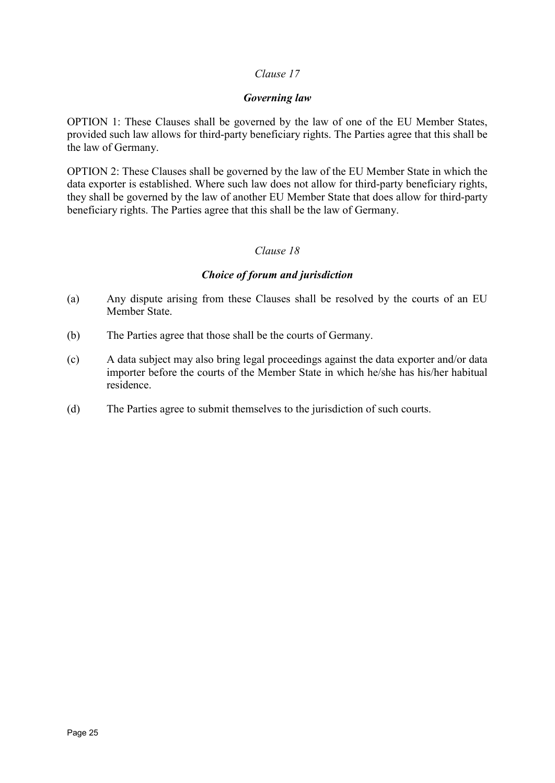## *Clause 17*

## *Governing law*

OPTION 1: These Clauses shall be governed by the law of one of the EU Member States, provided such law allows for third-party beneficiary rights. The Parties agree that this shall be the law of Germany.

OPTION 2: These Clauses shall be governed by the law of the EU Member State in which the data exporter is established. Where such law does not allow for third-party beneficiary rights, they shall be governed by the law of another EU Member State that does allow for third-party beneficiary rights. The Parties agree that this shall be the law of Germany.

## *Clause 18*

## *Choice of forum and jurisdiction*

- (a) Any dispute arising from these Clauses shall be resolved by the courts of an EU Member State.
- (b) The Parties agree that those shall be the courts of Germany.
- (c) A data subject may also bring legal proceedings against the data exporter and/or data importer before the courts of the Member State in which he/she has his/her habitual residence.
- (d) The Parties agree to submit themselves to the jurisdiction of such courts.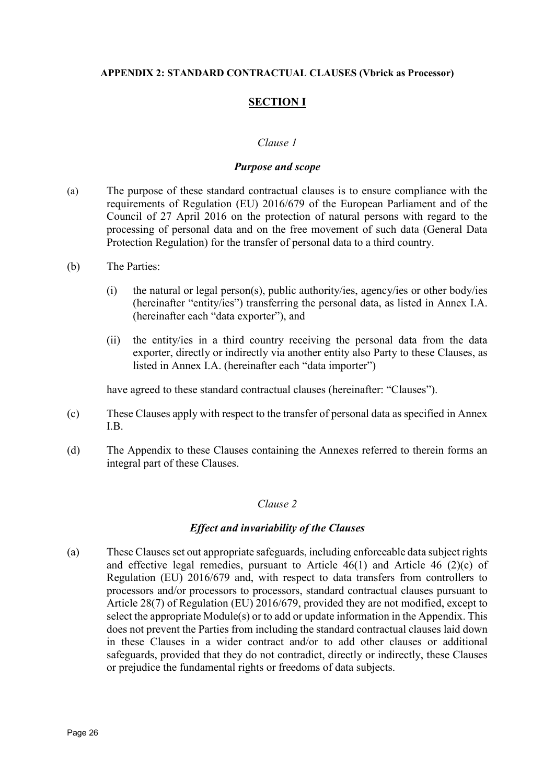### **APPENDIX 2: STANDARD CONTRACTUAL CLAUSES (Vbrick as Processor)**

# **SECTION I**

### *Clause 1*

### *Purpose and scope*

- (a) The purpose of these standard contractual clauses is to ensure compliance with the requirements of Regulation (EU) 2016/679 of the European Parliament and of the Council of 27 April 2016 on the protection of natural persons with regard to the processing of personal data and on the free movement of such data (General Data Protection Regulation) for the transfer of personal data to a third country.
- (b) The Parties:
	- (i) the natural or legal person(s), public authority/ies, agency/ies or other body/ies (hereinafter "entity/ies") transferring the personal data, as listed in Annex I.A. (hereinafter each "data exporter"), and
	- (ii) the entity/ies in a third country receiving the personal data from the data exporter, directly or indirectly via another entity also Party to these Clauses, as listed in Annex I.A. (hereinafter each "data importer")

have agreed to these standard contractual clauses (hereinafter: "Clauses").

- (c) These Clauses apply with respect to the transfer of personal data as specified in Annex I.B.
- (d) The Appendix to these Clauses containing the Annexes referred to therein forms an integral part of these Clauses.

## *Clause 2*

## *Effect and invariability of the Clauses*

(a) These Clauses set out appropriate safeguards, including enforceable data subject rights and effective legal remedies, pursuant to Article 46(1) and Article 46 (2)(c) of Regulation (EU) 2016/679 and, with respect to data transfers from controllers to processors and/or processors to processors, standard contractual clauses pursuant to Article 28(7) of Regulation (EU) 2016/679, provided they are not modified, except to select the appropriate Module(s) or to add or update information in the Appendix. This does not prevent the Parties from including the standard contractual clauses laid down in these Clauses in a wider contract and/or to add other clauses or additional safeguards, provided that they do not contradict, directly or indirectly, these Clauses or prejudice the fundamental rights or freedoms of data subjects.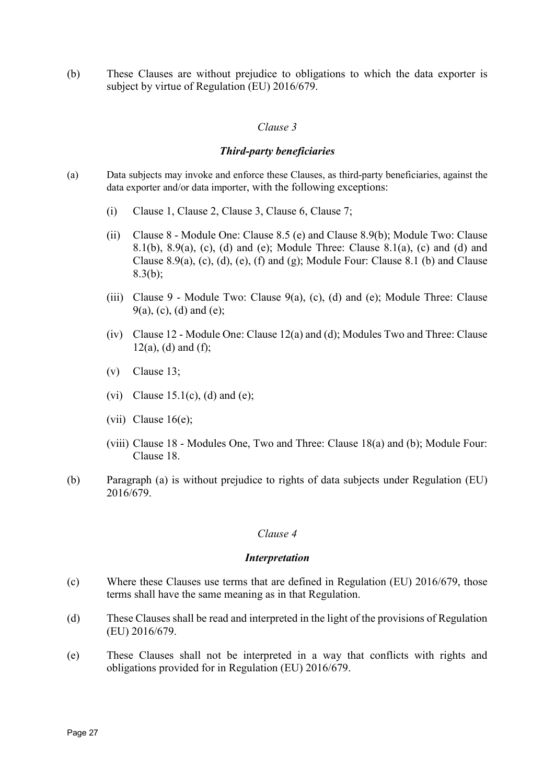(b) These Clauses are without prejudice to obligations to which the data exporter is subject by virtue of Regulation (EU) 2016/679.

### *Clause 3*

#### *Third-party beneficiaries*

- (a) Data subjects may invoke and enforce these Clauses, as third-party beneficiaries, against the data exporter and/or data importer, with the following exceptions:
	- (i) Clause 1, Clause 2, Clause 3, Clause 6, Clause 7;
	- (ii) Clause 8 Module One: Clause 8.5 (e) and Clause 8.9(b); Module Two: Clause 8.1(b), 8.9(a), (c), (d) and (e); Module Three: Clause 8.1(a), (c) and (d) and Clause 8.9(a), (c), (d), (e), (f) and (g); Module Four: Clause 8.1 (b) and Clause 8.3(b);
	- (iii) Clause 9 Module Two: Clause 9(a), (c), (d) and (e); Module Three: Clause  $9(a)$ , (c), (d) and (e);
	- (iv) Clause 12 Module One: Clause 12(a) and (d); Modules Two and Three: Clause  $12(a)$ , (d) and (f);
	- (v) Clause 13;
	- (vi) Clause  $15.1(c)$ , (d) and (e);
	- (vii) Clause  $16(e)$ ;
	- (viii) Clause 18 Modules One, Two and Three: Clause 18(a) and (b); Module Four: Clause 18.
- (b) Paragraph (a) is without prejudice to rights of data subjects under Regulation (EU) 2016/679.

### *Clause 4*

#### *Interpretation*

- (c) Where these Clauses use terms that are defined in Regulation (EU) 2016/679, those terms shall have the same meaning as in that Regulation.
- (d) These Clauses shall be read and interpreted in the light of the provisions of Regulation (EU) 2016/679.
- (e) These Clauses shall not be interpreted in a way that conflicts with rights and obligations provided for in Regulation (EU) 2016/679.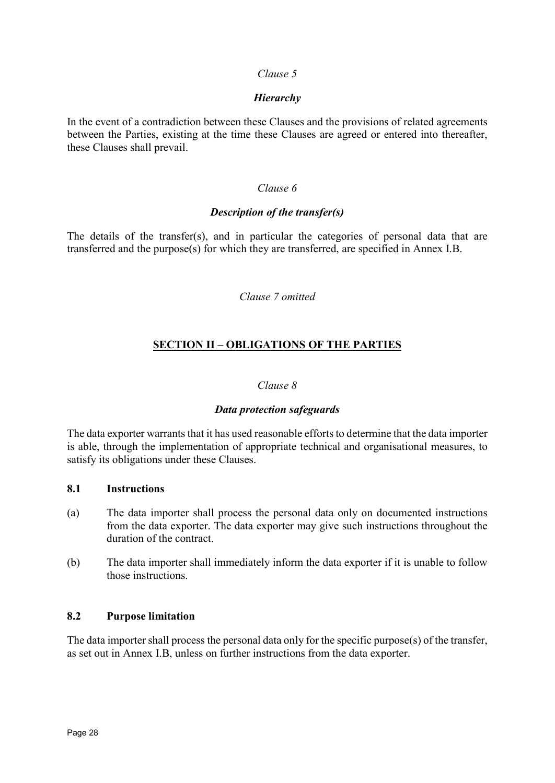## *Clause 5*

### *Hierarchy*

In the event of a contradiction between these Clauses and the provisions of related agreements between the Parties, existing at the time these Clauses are agreed or entered into thereafter, these Clauses shall prevail.

## *Clause 6*

## *Description of the transfer(s)*

The details of the transfer(s), and in particular the categories of personal data that are transferred and the purpose(s) for which they are transferred, are specified in Annex I.B.

## *Clause 7 omitted*

## **SECTION II – OBLIGATIONS OF THE PARTIES**

### *Clause 8*

## *Data protection safeguards*

The data exporter warrants that it has used reasonable efforts to determine that the data importer is able, through the implementation of appropriate technical and organisational measures, to satisfy its obligations under these Clauses.

#### **8.1 Instructions**

- (a) The data importer shall process the personal data only on documented instructions from the data exporter. The data exporter may give such instructions throughout the duration of the contract.
- (b) The data importer shall immediately inform the data exporter if it is unable to follow those instructions.

### **8.2 Purpose limitation**

The data importer shall process the personal data only for the specific purpose(s) of the transfer, as set out in Annex I.B, unless on further instructions from the data exporter.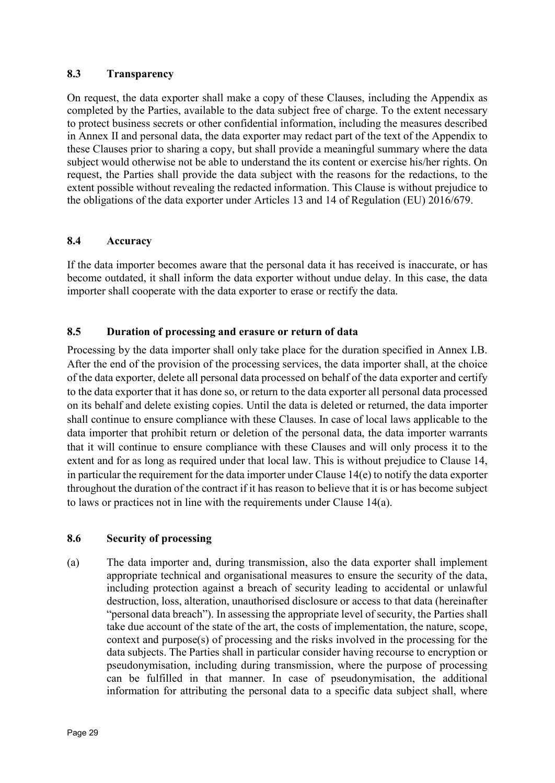## **8.3 Transparency**

On request, the data exporter shall make a copy of these Clauses, including the Appendix as completed by the Parties, available to the data subject free of charge. To the extent necessary to protect business secrets or other confidential information, including the measures described in Annex II and personal data, the data exporter may redact part of the text of the Appendix to these Clauses prior to sharing a copy, but shall provide a meaningful summary where the data subject would otherwise not be able to understand the its content or exercise his/her rights. On request, the Parties shall provide the data subject with the reasons for the redactions, to the extent possible without revealing the redacted information. This Clause is without prejudice to the obligations of the data exporter under Articles 13 and 14 of Regulation (EU) 2016/679.

## **8.4 Accuracy**

If the data importer becomes aware that the personal data it has received is inaccurate, or has become outdated, it shall inform the data exporter without undue delay. In this case, the data importer shall cooperate with the data exporter to erase or rectify the data.

# **8.5 Duration of processing and erasure or return of data**

Processing by the data importer shall only take place for the duration specified in Annex I.B. After the end of the provision of the processing services, the data importer shall, at the choice of the data exporter, delete all personal data processed on behalf of the data exporter and certify to the data exporter that it has done so, or return to the data exporter all personal data processed on its behalf and delete existing copies. Until the data is deleted or returned, the data importer shall continue to ensure compliance with these Clauses. In case of local laws applicable to the data importer that prohibit return or deletion of the personal data, the data importer warrants that it will continue to ensure compliance with these Clauses and will only process it to the extent and for as long as required under that local law. This is without prejudice to Clause 14, in particular the requirement for the data importer under Clause 14(e) to notify the data exporter throughout the duration of the contract if it has reason to believe that it is or has become subject to laws or practices not in line with the requirements under Clause 14(a).

# **8.6 Security of processing**

(a) The data importer and, during transmission, also the data exporter shall implement appropriate technical and organisational measures to ensure the security of the data, including protection against a breach of security leading to accidental or unlawful destruction, loss, alteration, unauthorised disclosure or access to that data (hereinafter "personal data breach"). In assessing the appropriate level of security, the Parties shall take due account of the state of the art, the costs of implementation, the nature, scope, context and purpose(s) of processing and the risks involved in the processing for the data subjects. The Parties shall in particular consider having recourse to encryption or pseudonymisation, including during transmission, where the purpose of processing can be fulfilled in that manner. In case of pseudonymisation, the additional information for attributing the personal data to a specific data subject shall, where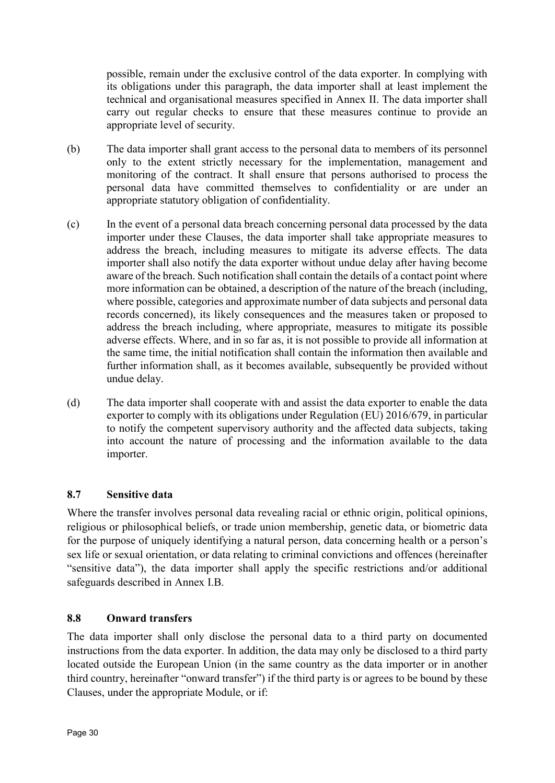possible, remain under the exclusive control of the data exporter. In complying with its obligations under this paragraph, the data importer shall at least implement the technical and organisational measures specified in Annex II. The data importer shall carry out regular checks to ensure that these measures continue to provide an appropriate level of security.

- (b) The data importer shall grant access to the personal data to members of its personnel only to the extent strictly necessary for the implementation, management and monitoring of the contract. It shall ensure that persons authorised to process the personal data have committed themselves to confidentiality or are under an appropriate statutory obligation of confidentiality.
- (c) In the event of a personal data breach concerning personal data processed by the data importer under these Clauses, the data importer shall take appropriate measures to address the breach, including measures to mitigate its adverse effects. The data importer shall also notify the data exporter without undue delay after having become aware of the breach. Such notification shall contain the details of a contact point where more information can be obtained, a description of the nature of the breach (including, where possible, categories and approximate number of data subjects and personal data records concerned), its likely consequences and the measures taken or proposed to address the breach including, where appropriate, measures to mitigate its possible adverse effects. Where, and in so far as, it is not possible to provide all information at the same time, the initial notification shall contain the information then available and further information shall, as it becomes available, subsequently be provided without undue delay.
- (d) The data importer shall cooperate with and assist the data exporter to enable the data exporter to comply with its obligations under Regulation (EU) 2016/679, in particular to notify the competent supervisory authority and the affected data subjects, taking into account the nature of processing and the information available to the data importer.

# **8.7 Sensitive data**

Where the transfer involves personal data revealing racial or ethnic origin, political opinions, religious or philosophical beliefs, or trade union membership, genetic data, or biometric data for the purpose of uniquely identifying a natural person, data concerning health or a person's sex life or sexual orientation, or data relating to criminal convictions and offences (hereinafter "sensitive data"), the data importer shall apply the specific restrictions and/or additional safeguards described in Annex I.B.

# **8.8 Onward transfers**

The data importer shall only disclose the personal data to a third party on documented instructions from the data exporter. In addition, the data may only be disclosed to a third party located outside the European Union (in the same country as the data importer or in another third country, hereinafter "onward transfer") if the third party is or agrees to be bound by these Clauses, under the appropriate Module, or if: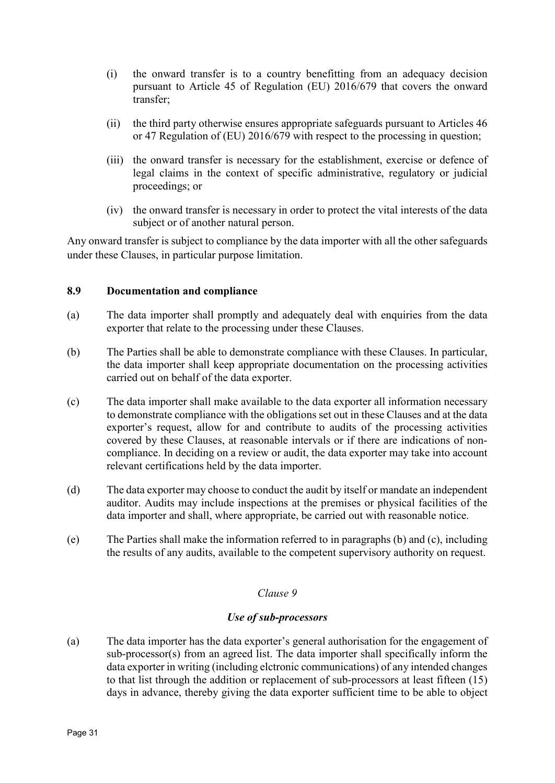- (i) the onward transfer is to a country benefitting from an adequacy decision pursuant to Article 45 of Regulation (EU) 2016/679 that covers the onward transfer;
- (ii) the third party otherwise ensures appropriate safeguards pursuant to Articles 46 or 47 Regulation of (EU) 2016/679 with respect to the processing in question;
- (iii) the onward transfer is necessary for the establishment, exercise or defence of legal claims in the context of specific administrative, regulatory or judicial proceedings; or
- (iv) the onward transfer is necessary in order to protect the vital interests of the data subject or of another natural person.

Any onward transfer is subject to compliance by the data importer with all the other safeguards under these Clauses, in particular purpose limitation.

## **8.9 Documentation and compliance**

- (a) The data importer shall promptly and adequately deal with enquiries from the data exporter that relate to the processing under these Clauses.
- (b) The Parties shall be able to demonstrate compliance with these Clauses. In particular, the data importer shall keep appropriate documentation on the processing activities carried out on behalf of the data exporter.
- (c) The data importer shall make available to the data exporter all information necessary to demonstrate compliance with the obligations set out in these Clauses and at the data exporter's request, allow for and contribute to audits of the processing activities covered by these Clauses, at reasonable intervals or if there are indications of noncompliance. In deciding on a review or audit, the data exporter may take into account relevant certifications held by the data importer.
- (d) The data exporter may choose to conduct the audit by itself or mandate an independent auditor. Audits may include inspections at the premises or physical facilities of the data importer and shall, where appropriate, be carried out with reasonable notice.
- (e) The Parties shall make the information referred to in paragraphs (b) and (c), including the results of any audits, available to the competent supervisory authority on request.

## *Clause 9*

# *Use of sub-processors*

(a) The data importer has the data exporter's general authorisation for the engagement of sub-processor(s) from an agreed list. The data importer shall specifically inform the data exporter in writing (including elctronic communications) of any intended changes to that list through the addition or replacement of sub-processors at least fifteen (15) days in advance, thereby giving the data exporter sufficient time to be able to object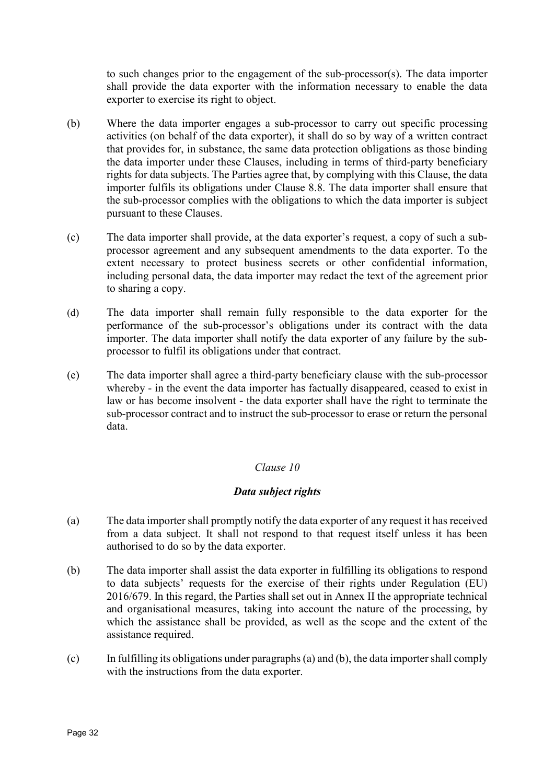to such changes prior to the engagement of the sub-processor(s). The data importer shall provide the data exporter with the information necessary to enable the data exporter to exercise its right to object.

- (b) Where the data importer engages a sub-processor to carry out specific processing activities (on behalf of the data exporter), it shall do so by way of a written contract that provides for, in substance, the same data protection obligations as those binding the data importer under these Clauses, including in terms of third-party beneficiary rights for data subjects. The Parties agree that, by complying with this Clause, the data importer fulfils its obligations under Clause 8.8. The data importer shall ensure that the sub-processor complies with the obligations to which the data importer is subject pursuant to these Clauses.
- (c) The data importer shall provide, at the data exporter's request, a copy of such a subprocessor agreement and any subsequent amendments to the data exporter. To the extent necessary to protect business secrets or other confidential information, including personal data, the data importer may redact the text of the agreement prior to sharing a copy.
- (d) The data importer shall remain fully responsible to the data exporter for the performance of the sub-processor's obligations under its contract with the data importer. The data importer shall notify the data exporter of any failure by the subprocessor to fulfil its obligations under that contract.
- (e) The data importer shall agree a third-party beneficiary clause with the sub-processor whereby - in the event the data importer has factually disappeared, ceased to exist in law or has become insolvent - the data exporter shall have the right to terminate the sub-processor contract and to instruct the sub-processor to erase or return the personal data.

# *Clause 10*

# *Data subject rights*

- (a) The data importer shall promptly notify the data exporter of any request it has received from a data subject. It shall not respond to that request itself unless it has been authorised to do so by the data exporter.
- (b) The data importer shall assist the data exporter in fulfilling its obligations to respond to data subjects' requests for the exercise of their rights under Regulation (EU) 2016/679. In this regard, the Parties shall set out in Annex II the appropriate technical and organisational measures, taking into account the nature of the processing, by which the assistance shall be provided, as well as the scope and the extent of the assistance required.
- (c) In fulfilling its obligations under paragraphs (a) and (b), the data importer shall comply with the instructions from the data exporter.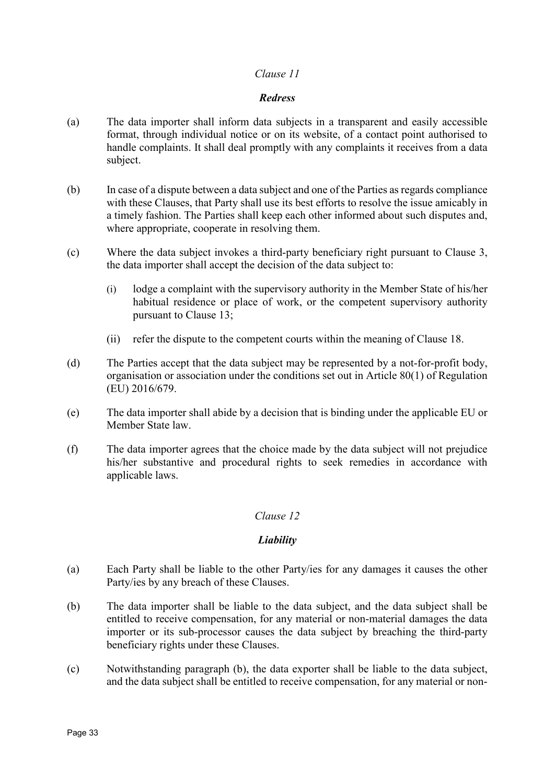## *Clause 11*

### *Redress*

- (a) The data importer shall inform data subjects in a transparent and easily accessible format, through individual notice or on its website, of a contact point authorised to handle complaints. It shall deal promptly with any complaints it receives from a data subject.
- (b) In case of a dispute between a data subject and one of the Parties as regards compliance with these Clauses, that Party shall use its best efforts to resolve the issue amicably in a timely fashion. The Parties shall keep each other informed about such disputes and, where appropriate, cooperate in resolving them.
- (c) Where the data subject invokes a third-party beneficiary right pursuant to Clause 3, the data importer shall accept the decision of the data subject to:
	- (i) lodge a complaint with the supervisory authority in the Member State of his/her habitual residence or place of work, or the competent supervisory authority pursuant to Clause 13;
	- (ii) refer the dispute to the competent courts within the meaning of Clause 18.
- (d) The Parties accept that the data subject may be represented by a not-for-profit body, organisation or association under the conditions set out in Article 80(1) of Regulation (EU) 2016/679.
- (e) The data importer shall abide by a decision that is binding under the applicable EU or Member State law.
- (f) The data importer agrees that the choice made by the data subject will not prejudice his/her substantive and procedural rights to seek remedies in accordance with applicable laws.

# *Clause 12*

## *Liability*

- (a) Each Party shall be liable to the other Party/ies for any damages it causes the other Party/ies by any breach of these Clauses.
- (b) The data importer shall be liable to the data subject, and the data subject shall be entitled to receive compensation, for any material or non-material damages the data importer or its sub-processor causes the data subject by breaching the third-party beneficiary rights under these Clauses.
- (c) Notwithstanding paragraph (b), the data exporter shall be liable to the data subject, and the data subject shall be entitled to receive compensation, for any material or non-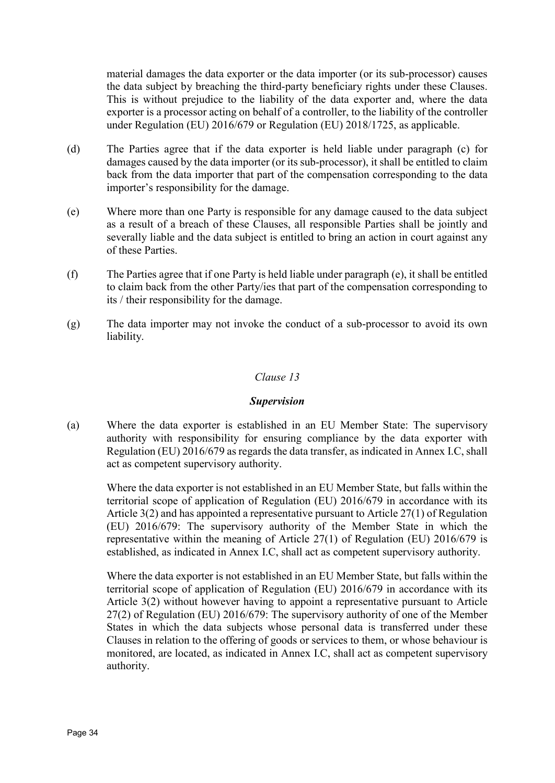material damages the data exporter or the data importer (or its sub-processor) causes the data subject by breaching the third-party beneficiary rights under these Clauses. This is without prejudice to the liability of the data exporter and, where the data exporter is a processor acting on behalf of a controller, to the liability of the controller under Regulation (EU) 2016/679 or Regulation (EU) 2018/1725, as applicable.

- (d) The Parties agree that if the data exporter is held liable under paragraph (c) for damages caused by the data importer (or its sub-processor), it shall be entitled to claim back from the data importer that part of the compensation corresponding to the data importer's responsibility for the damage.
- (e) Where more than one Party is responsible for any damage caused to the data subject as a result of a breach of these Clauses, all responsible Parties shall be jointly and severally liable and the data subject is entitled to bring an action in court against any of these Parties.
- (f) The Parties agree that if one Party is held liable under paragraph (e), it shall be entitled to claim back from the other Party/ies that part of the compensation corresponding to its / their responsibility for the damage.
- (g) The data importer may not invoke the conduct of a sub-processor to avoid its own liability.

## *Clause 13*

## *Supervision*

(a) Where the data exporter is established in an EU Member State: The supervisory authority with responsibility for ensuring compliance by the data exporter with Regulation (EU) 2016/679 as regards the data transfer, as indicated in Annex I.C, shall act as competent supervisory authority.

Where the data exporter is not established in an EU Member State, but falls within the territorial scope of application of Regulation (EU) 2016/679 in accordance with its Article 3(2) and has appointed a representative pursuant to Article 27(1) of Regulation (EU) 2016/679: The supervisory authority of the Member State in which the representative within the meaning of Article 27(1) of Regulation (EU) 2016/679 is established, as indicated in Annex I.C, shall act as competent supervisory authority.

Where the data exporter is not established in an EU Member State, but falls within the territorial scope of application of Regulation (EU) 2016/679 in accordance with its Article 3(2) without however having to appoint a representative pursuant to Article 27(2) of Regulation (EU) 2016/679: The supervisory authority of one of the Member States in which the data subjects whose personal data is transferred under these Clauses in relation to the offering of goods or services to them, or whose behaviour is monitored, are located, as indicated in Annex I.C, shall act as competent supervisory authority.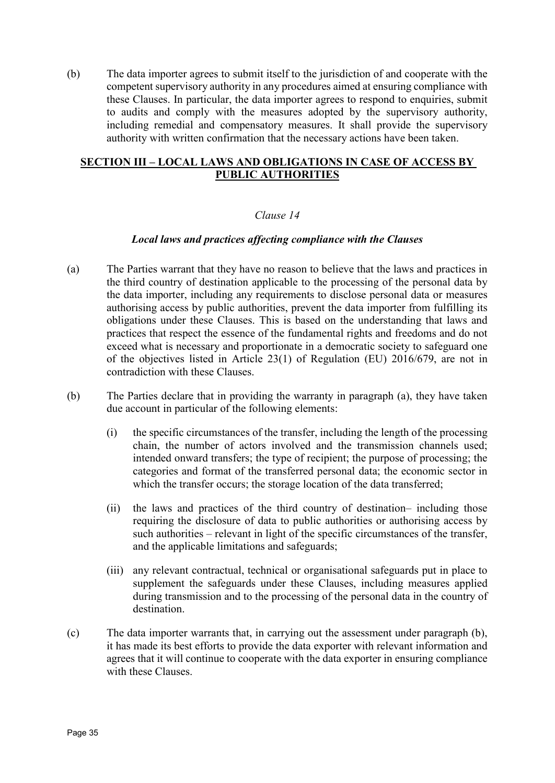(b) The data importer agrees to submit itself to the jurisdiction of and cooperate with the competent supervisory authority in any procedures aimed at ensuring compliance with these Clauses. In particular, the data importer agrees to respond to enquiries, submit to audits and comply with the measures adopted by the supervisory authority, including remedial and compensatory measures. It shall provide the supervisory authority with written confirmation that the necessary actions have been taken.

## **SECTION III – LOCAL LAWS AND OBLIGATIONS IN CASE OF ACCESS BY PUBLIC AUTHORITIES**

## *Clause 14*

## *Local laws and practices affecting compliance with the Clauses*

- (a) The Parties warrant that they have no reason to believe that the laws and practices in the third country of destination applicable to the processing of the personal data by the data importer, including any requirements to disclose personal data or measures authorising access by public authorities, prevent the data importer from fulfilling its obligations under these Clauses. This is based on the understanding that laws and practices that respect the essence of the fundamental rights and freedoms and do not exceed what is necessary and proportionate in a democratic society to safeguard one of the objectives listed in Article 23(1) of Regulation (EU) 2016/679, are not in contradiction with these Clauses.
- (b) The Parties declare that in providing the warranty in paragraph (a), they have taken due account in particular of the following elements:
	- (i) the specific circumstances of the transfer, including the length of the processing chain, the number of actors involved and the transmission channels used; intended onward transfers; the type of recipient; the purpose of processing; the categories and format of the transferred personal data; the economic sector in which the transfer occurs; the storage location of the data transferred;
	- (ii) the laws and practices of the third country of destination– including those requiring the disclosure of data to public authorities or authorising access by such authorities – relevant in light of the specific circumstances of the transfer, and the applicable limitations and safeguards;
	- (iii) any relevant contractual, technical or organisational safeguards put in place to supplement the safeguards under these Clauses, including measures applied during transmission and to the processing of the personal data in the country of destination.
- (c) The data importer warrants that, in carrying out the assessment under paragraph (b), it has made its best efforts to provide the data exporter with relevant information and agrees that it will continue to cooperate with the data exporter in ensuring compliance with these Clauses.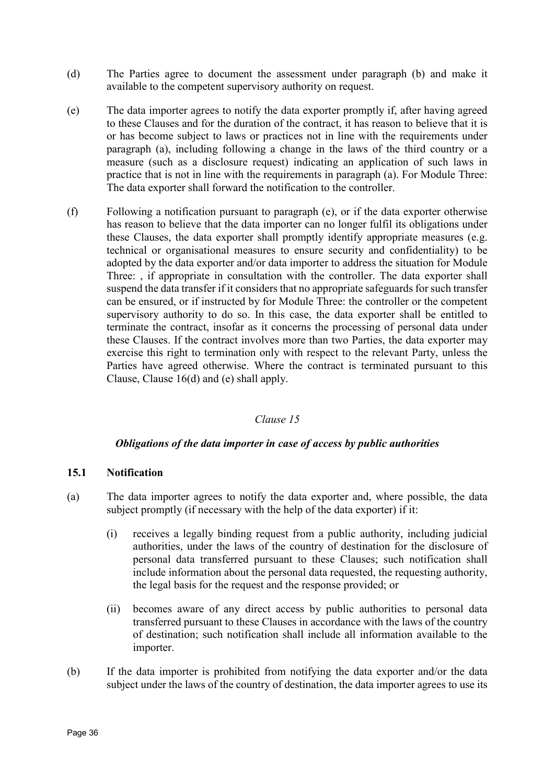- (d) The Parties agree to document the assessment under paragraph (b) and make it available to the competent supervisory authority on request.
- (e) The data importer agrees to notify the data exporter promptly if, after having agreed to these Clauses and for the duration of the contract, it has reason to believe that it is or has become subject to laws or practices not in line with the requirements under paragraph (a), including following a change in the laws of the third country or a measure (such as a disclosure request) indicating an application of such laws in practice that is not in line with the requirements in paragraph (a). For Module Three: The data exporter shall forward the notification to the controller.
- (f) Following a notification pursuant to paragraph (e), or if the data exporter otherwise has reason to believe that the data importer can no longer fulfil its obligations under these Clauses, the data exporter shall promptly identify appropriate measures (e.g. technical or organisational measures to ensure security and confidentiality) to be adopted by the data exporter and/or data importer to address the situation for Module Three: , if appropriate in consultation with the controller. The data exporter shall suspend the data transfer if it considers that no appropriate safeguards for such transfer can be ensured, or if instructed by for Module Three: the controller or the competent supervisory authority to do so. In this case, the data exporter shall be entitled to terminate the contract, insofar as it concerns the processing of personal data under these Clauses. If the contract involves more than two Parties, the data exporter may exercise this right to termination only with respect to the relevant Party, unless the Parties have agreed otherwise. Where the contract is terminated pursuant to this Clause, Clause 16(d) and (e) shall apply.

## *Clause 15*

#### *Obligations of the data importer in case of access by public authorities*

### **15.1 Notification**

- (a) The data importer agrees to notify the data exporter and, where possible, the data subject promptly (if necessary with the help of the data exporter) if it:
	- (i) receives a legally binding request from a public authority, including judicial authorities, under the laws of the country of destination for the disclosure of personal data transferred pursuant to these Clauses; such notification shall include information about the personal data requested, the requesting authority, the legal basis for the request and the response provided; or
	- (ii) becomes aware of any direct access by public authorities to personal data transferred pursuant to these Clauses in accordance with the laws of the country of destination; such notification shall include all information available to the importer.
- (b) If the data importer is prohibited from notifying the data exporter and/or the data subject under the laws of the country of destination, the data importer agrees to use its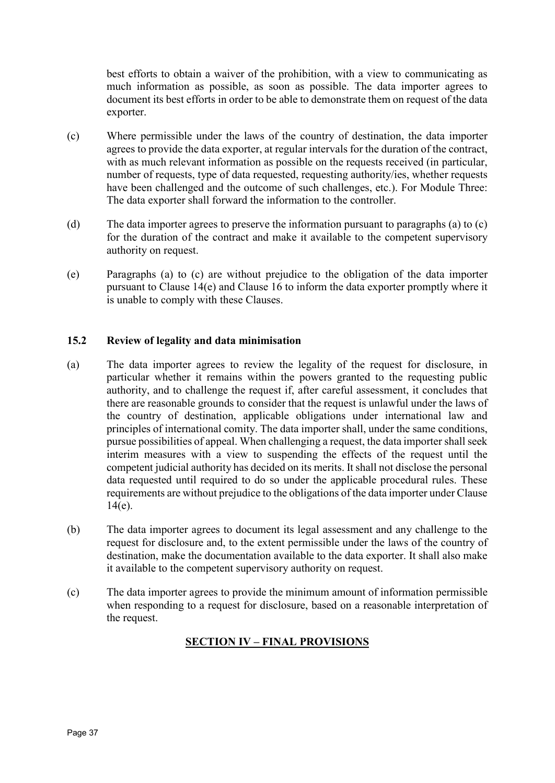best efforts to obtain a waiver of the prohibition, with a view to communicating as much information as possible, as soon as possible. The data importer agrees to document its best efforts in order to be able to demonstrate them on request of the data exporter.

- (c) Where permissible under the laws of the country of destination, the data importer agrees to provide the data exporter, at regular intervals for the duration of the contract, with as much relevant information as possible on the requests received (in particular, number of requests, type of data requested, requesting authority/ies, whether requests have been challenged and the outcome of such challenges, etc.). For Module Three: The data exporter shall forward the information to the controller.
- (d) The data importer agrees to preserve the information pursuant to paragraphs (a) to (c) for the duration of the contract and make it available to the competent supervisory authority on request.
- (e) Paragraphs (a) to (c) are without prejudice to the obligation of the data importer pursuant to Clause 14(e) and Clause 16 to inform the data exporter promptly where it is unable to comply with these Clauses.

# **15.2 Review of legality and data minimisation**

- (a) The data importer agrees to review the legality of the request for disclosure, in particular whether it remains within the powers granted to the requesting public authority, and to challenge the request if, after careful assessment, it concludes that there are reasonable grounds to consider that the request is unlawful under the laws of the country of destination, applicable obligations under international law and principles of international comity. The data importer shall, under the same conditions, pursue possibilities of appeal. When challenging a request, the data importer shall seek interim measures with a view to suspending the effects of the request until the competent judicial authority has decided on its merits. It shall not disclose the personal data requested until required to do so under the applicable procedural rules. These requirements are without prejudice to the obligations of the data importer under Clause 14(e).
- (b) The data importer agrees to document its legal assessment and any challenge to the request for disclosure and, to the extent permissible under the laws of the country of destination, make the documentation available to the data exporter. It shall also make it available to the competent supervisory authority on request.
- (c) The data importer agrees to provide the minimum amount of information permissible when responding to a request for disclosure, based on a reasonable interpretation of the request.

# **SECTION IV – FINAL PROVISIONS**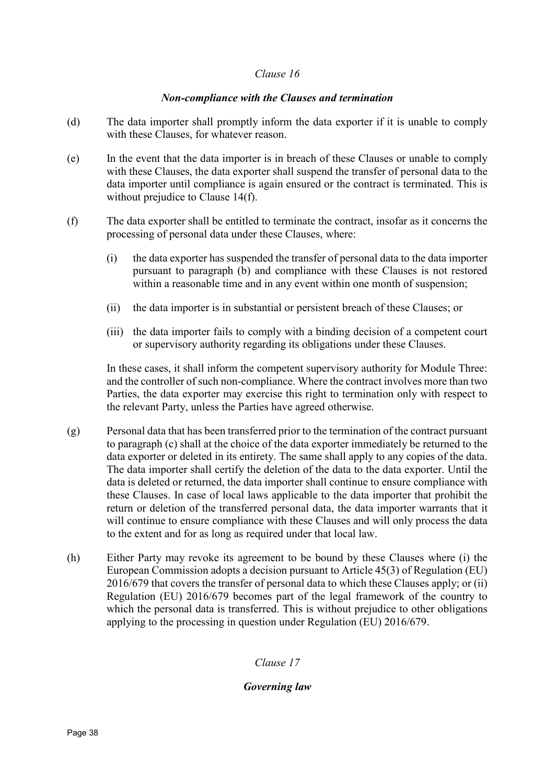## *Clause 16*

### *Non-compliance with the Clauses and termination*

- (d) The data importer shall promptly inform the data exporter if it is unable to comply with these Clauses, for whatever reason.
- (e) In the event that the data importer is in breach of these Clauses or unable to comply with these Clauses, the data exporter shall suspend the transfer of personal data to the data importer until compliance is again ensured or the contract is terminated. This is without prejudice to Clause 14(f).
- (f) The data exporter shall be entitled to terminate the contract, insofar as it concerns the processing of personal data under these Clauses, where:
	- (i) the data exporter has suspended the transfer of personal data to the data importer pursuant to paragraph (b) and compliance with these Clauses is not restored within a reasonable time and in any event within one month of suspension;
	- (ii) the data importer is in substantial or persistent breach of these Clauses; or
	- (iii) the data importer fails to comply with a binding decision of a competent court or supervisory authority regarding its obligations under these Clauses.

In these cases, it shall inform the competent supervisory authority for Module Three: and the controller of such non-compliance. Where the contract involves more than two Parties, the data exporter may exercise this right to termination only with respect to the relevant Party, unless the Parties have agreed otherwise.

- (g) Personal data that has been transferred prior to the termination of the contract pursuant to paragraph (c) shall at the choice of the data exporter immediately be returned to the data exporter or deleted in its entirety. The same shall apply to any copies of the data. The data importer shall certify the deletion of the data to the data exporter. Until the data is deleted or returned, the data importer shall continue to ensure compliance with these Clauses. In case of local laws applicable to the data importer that prohibit the return or deletion of the transferred personal data, the data importer warrants that it will continue to ensure compliance with these Clauses and will only process the data to the extent and for as long as required under that local law.
- (h) Either Party may revoke its agreement to be bound by these Clauses where (i) the European Commission adopts a decision pursuant to Article 45(3) of Regulation (EU) 2016/679 that covers the transfer of personal data to which these Clauses apply; or (ii) Regulation (EU) 2016/679 becomes part of the legal framework of the country to which the personal data is transferred. This is without prejudice to other obligations applying to the processing in question under Regulation (EU) 2016/679.

## *Clause 17*

## *Governing law*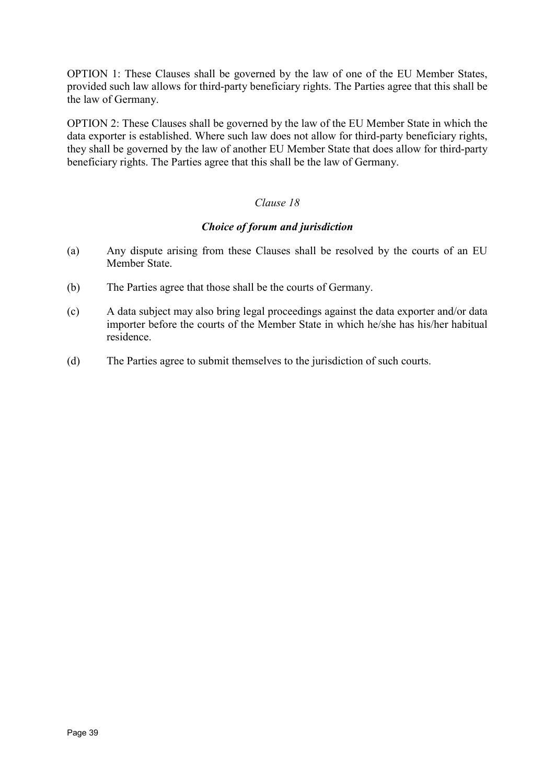OPTION 1: These Clauses shall be governed by the law of one of the EU Member States, provided such law allows for third-party beneficiary rights. The Parties agree that this shall be the law of Germany.

OPTION 2: These Clauses shall be governed by the law of the EU Member State in which the data exporter is established. Where such law does not allow for third-party beneficiary rights, they shall be governed by the law of another EU Member State that does allow for third-party beneficiary rights. The Parties agree that this shall be the law of Germany.

# *Clause 18*

# *Choice of forum and jurisdiction*

- (a) Any dispute arising from these Clauses shall be resolved by the courts of an EU Member State.
- (b) The Parties agree that those shall be the courts of Germany.
- (c) A data subject may also bring legal proceedings against the data exporter and/or data importer before the courts of the Member State in which he/she has his/her habitual residence.
- (d) The Parties agree to submit themselves to the jurisdiction of such courts.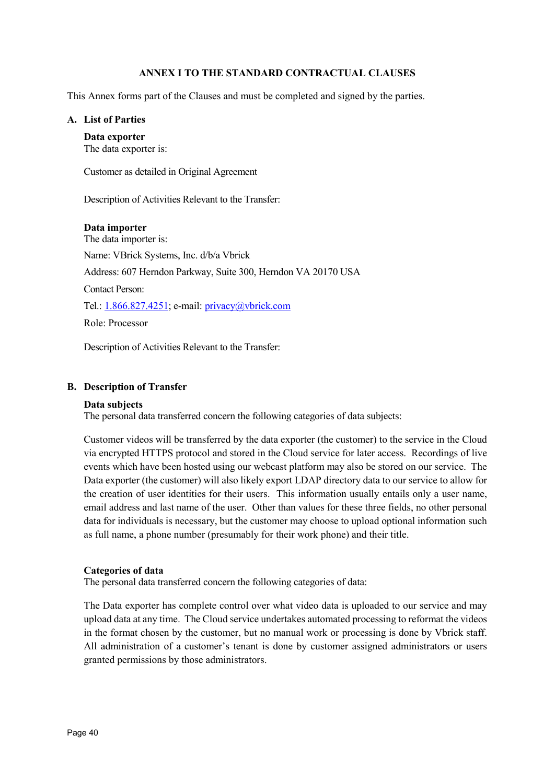### **ANNEX I TO THE STANDARD CONTRACTUAL CLAUSES**

This Annex forms part of the Clauses and must be completed and signed by the parties.

#### **A. List of Parties**

**Data exporter** The data exporter is:

Customer as detailed in Original Agreement

Description of Activities Relevant to the Transfer:

#### **Data importer**

The data importer is: Name: VBrick Systems, Inc. d/b/a Vbrick Address: 607 Herndon Parkway, Suite 300, Herndon VA 20170 USA Contact Person: Tel.: [1.866.827.4251;](tel:18668274251) e-mail: [privacy@vbrick.com](mailto:privacy@vbrick.com) Role: Processor

Description of Activities Relevant to the Transfer:

#### **B. Description of Transfer**

#### **Data subjects**

The personal data transferred concern the following categories of data subjects:

Customer videos will be transferred by the data exporter (the customer) to the service in the Cloud via encrypted HTTPS protocol and stored in the Cloud service for later access. Recordings of live events which have been hosted using our webcast platform may also be stored on our service. The Data exporter (the customer) will also likely export LDAP directory data to our service to allow for the creation of user identities for their users. This information usually entails only a user name, email address and last name of the user. Other than values for these three fields, no other personal data for individuals is necessary, but the customer may choose to upload optional information such as full name, a phone number (presumably for their work phone) and their title.

#### **Categories of data**

The personal data transferred concern the following categories of data:

The Data exporter has complete control over what video data is uploaded to our service and may upload data at any time. The Cloud service undertakes automated processing to reformat the videos in the format chosen by the customer, but no manual work or processing is done by Vbrick staff. All administration of a customer's tenant is done by customer assigned administrators or users granted permissions by those administrators.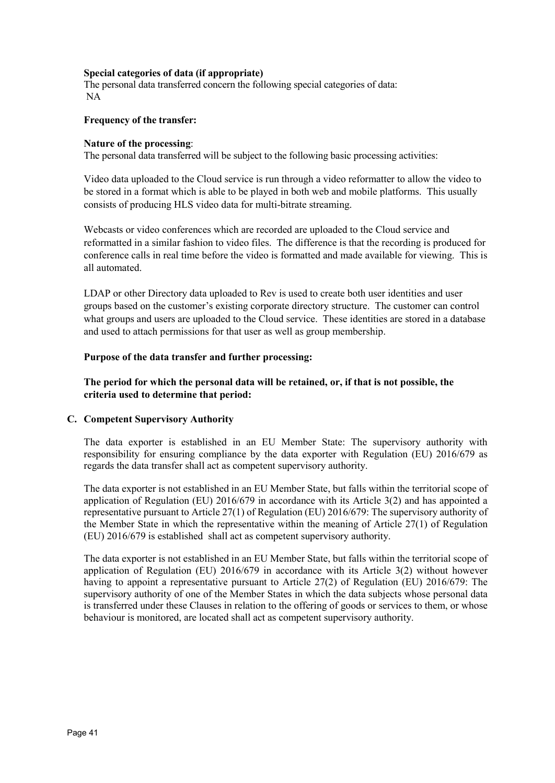#### **Special categories of data (if appropriate)**

The personal data transferred concern the following special categories of data: NA

#### **Frequency of the transfer:**

#### **Nature of the processing**:

The personal data transferred will be subject to the following basic processing activities:

Video data uploaded to the Cloud service is run through a video reformatter to allow the video to be stored in a format which is able to be played in both web and mobile platforms. This usually consists of producing HLS video data for multi-bitrate streaming.

Webcasts or video conferences which are recorded are uploaded to the Cloud service and reformatted in a similar fashion to video files. The difference is that the recording is produced for conference calls in real time before the video is formatted and made available for viewing. This is all automated.

LDAP or other Directory data uploaded to Rev is used to create both user identities and user groups based on the customer's existing corporate directory structure. The customer can control what groups and users are uploaded to the Cloud service. These identities are stored in a database and used to attach permissions for that user as well as group membership.

#### **Purpose of the data transfer and further processing:**

**The period for which the personal data will be retained, or, if that is not possible, the criteria used to determine that period:**

#### **C. Competent Supervisory Authority**

The data exporter is established in an EU Member State: The supervisory authority with responsibility for ensuring compliance by the data exporter with Regulation (EU) 2016/679 as regards the data transfer shall act as competent supervisory authority.

The data exporter is not established in an EU Member State, but falls within the territorial scope of application of Regulation (EU) 2016/679 in accordance with its Article 3(2) and has appointed a representative pursuant to Article 27(1) of Regulation (EU) 2016/679: The supervisory authority of the Member State in which the representative within the meaning of Article 27(1) of Regulation (EU) 2016/679 is established shall act as competent supervisory authority.

The data exporter is not established in an EU Member State, but falls within the territorial scope of application of Regulation (EU) 2016/679 in accordance with its Article 3(2) without however having to appoint a representative pursuant to Article 27(2) of Regulation (EU) 2016/679: The supervisory authority of one of the Member States in which the data subjects whose personal data is transferred under these Clauses in relation to the offering of goods or services to them, or whose behaviour is monitored, are located shall act as competent supervisory authority.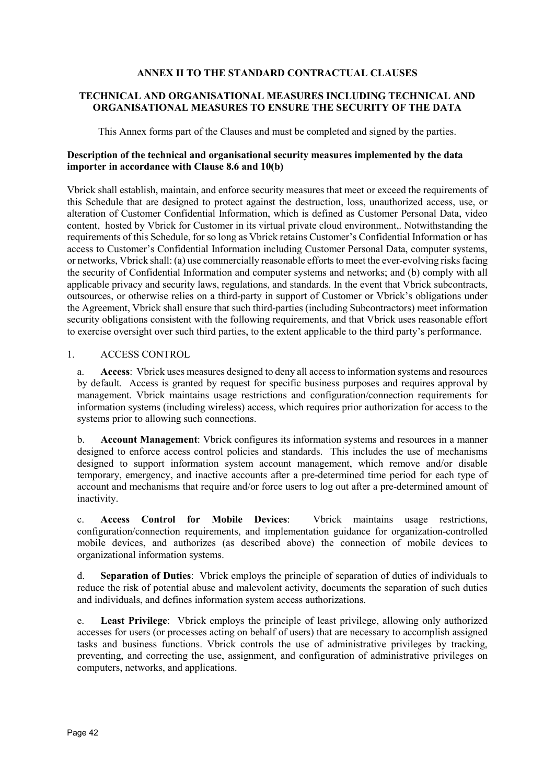### **ANNEX II TO THE STANDARD CONTRACTUAL CLAUSES**

### **TECHNICAL AND ORGANISATIONAL MEASURES INCLUDING TECHNICAL AND ORGANISATIONAL MEASURES TO ENSURE THE SECURITY OF THE DATA**

This Annex forms part of the Clauses and must be completed and signed by the parties.

### **Description of the technical and organisational security measures implemented by the data importer in accordance with Clause 8.6 and 10(b)**

Vbrick shall establish, maintain, and enforce security measures that meet or exceed the requirements of this Schedule that are designed to protect against the destruction, loss, unauthorized access, use, or alteration of Customer Confidential Information, which is defined as Customer Personal Data, video content, hosted by Vbrick for Customer in its virtual private cloud environment,. Notwithstanding the requirements of this Schedule, for so long as Vbrick retains Customer's Confidential Information or has access to Customer's Confidential Information including Customer Personal Data, computer systems, or networks, Vbrick shall: (a) use commercially reasonable efforts to meet the ever-evolving risks facing the security of Confidential Information and computer systems and networks; and (b) comply with all applicable privacy and security laws, regulations, and standards. In the event that Vbrick subcontracts, outsources, or otherwise relies on a third-party in support of Customer or Vbrick's obligations under the Agreement, Vbrick shall ensure that such third-parties (including Subcontractors) meet information security obligations consistent with the following requirements, and that Vbrick uses reasonable effort to exercise oversight over such third parties, to the extent applicable to the third party's performance.

#### 1. ACCESS CONTROL

a. **Access**: Vbrick uses measures designed to deny all access to information systems and resources by default. Access is granted by request for specific business purposes and requires approval by management. Vbrick maintains usage restrictions and configuration/connection requirements for information systems (including wireless) access, which requires prior authorization for access to the systems prior to allowing such connections.

b. **Account Management**: Vbrick configures its information systems and resources in a manner designed to enforce access control policies and standards. This includes the use of mechanisms designed to support information system account management, which remove and/or disable temporary, emergency, and inactive accounts after a pre-determined time period for each type of account and mechanisms that require and/or force users to log out after a pre-determined amount of inactivity.

c. **Access Control for Mobile Devices**: Vbrick maintains usage restrictions, configuration/connection requirements, and implementation guidance for organization-controlled mobile devices, and authorizes (as described above) the connection of mobile devices to organizational information systems.

d. **Separation of Duties**: Vbrick employs the principle of separation of duties of individuals to reduce the risk of potential abuse and malevolent activity, documents the separation of such duties and individuals, and defines information system access authorizations.

e. **Least Privilege**: Vbrick employs the principle of least privilege, allowing only authorized accesses for users (or processes acting on behalf of users) that are necessary to accomplish assigned tasks and business functions. Vbrick controls the use of administrative privileges by tracking, preventing, and correcting the use, assignment, and configuration of administrative privileges on computers, networks, and applications.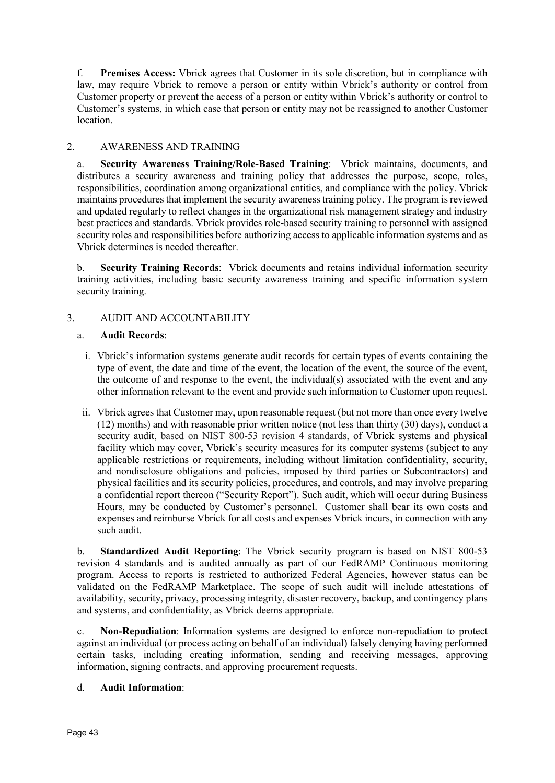f. **Premises Access:** Vbrick agrees that Customer in its sole discretion, but in compliance with law, may require Vbrick to remove a person or entity within Vbrick's authority or control from Customer property or prevent the access of a person or entity within Vbrick's authority or control to Customer's systems, in which case that person or entity may not be reassigned to another Customer location.

### 2. AWARENESS AND TRAINING

a. **Security Awareness Training/Role-Based Training**: Vbrick maintains, documents, and distributes a security awareness and training policy that addresses the purpose, scope, roles, responsibilities, coordination among organizational entities, and compliance with the policy. Vbrick maintains procedures that implement the security awareness training policy. The program isreviewed and updated regularly to reflect changes in the organizational risk management strategy and industry best practices and standards. Vbrick provides role-based security training to personnel with assigned security roles and responsibilities before authorizing access to applicable information systems and as Vbrick determines is needed thereafter.

b. **Security Training Records**: Vbrick documents and retains individual information security training activities, including basic security awareness training and specific information system security training.

### 3. AUDIT AND ACCOUNTABILITY

#### a. **Audit Records**:

- i. Vbrick's information systems generate audit records for certain types of events containing the type of event, the date and time of the event, the location of the event, the source of the event, the outcome of and response to the event, the individual(s) associated with the event and any other information relevant to the event and provide such information to Customer upon request.
- ii. Vbrick agrees that Customer may, upon reasonable request (but not more than once every twelve (12) months) and with reasonable prior written notice (not less than thirty (30) days), conduct a security audit, based on NIST 800-53 revision 4 standards, of Vbrick systems and physical facility which may cover, Vbrick's security measures for its computer systems (subject to any applicable restrictions or requirements, including without limitation confidentiality, security, and nondisclosure obligations and policies, imposed by third parties or Subcontractors) and physical facilities and its security policies, procedures, and controls, and may involve preparing a confidential report thereon ("Security Report"). Such audit, which will occur during Business Hours, may be conducted by Customer's personnel. Customer shall bear its own costs and expenses and reimburse Vbrick for all costs and expenses Vbrick incurs, in connection with any such audit.

b. **Standardized Audit Reporting**: The Vbrick security program is based on NIST 800-53 revision 4 standards and is audited annually as part of our FedRAMP Continuous monitoring program. Access to reports is restricted to authorized Federal Agencies, however status can be validated on the FedRAMP Marketplace. The scope of such audit will include attestations of availability, security, privacy, processing integrity, disaster recovery, backup, and contingency plans and systems, and confidentiality, as Vbrick deems appropriate.

c. **Non-Repudiation**: Information systems are designed to enforce non-repudiation to protect against an individual (or process acting on behalf of an individual) falsely denying having performed certain tasks, including creating information, sending and receiving messages, approving information, signing contracts, and approving procurement requests.

### d. **Audit Information**: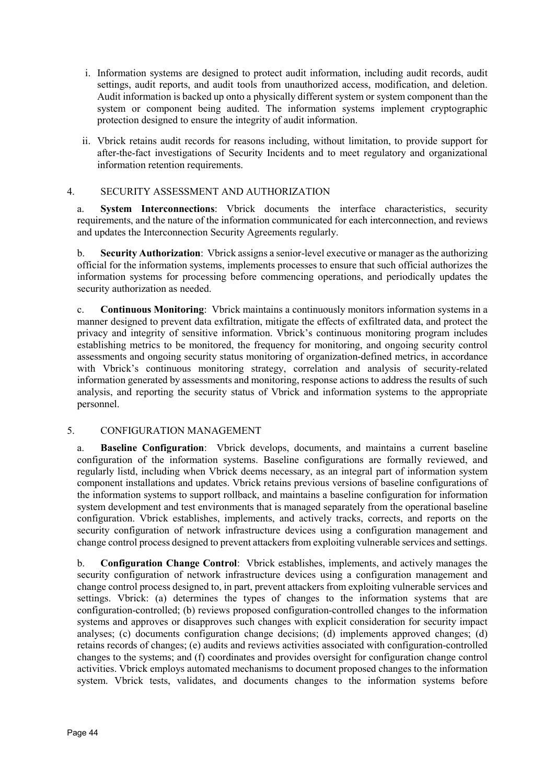- i. Information systems are designed to protect audit information, including audit records, audit settings, audit reports, and audit tools from unauthorized access, modification, and deletion. Audit information is backed up onto a physically different system or system component than the system or component being audited. The information systems implement cryptographic protection designed to ensure the integrity of audit information.
- ii. Vbrick retains audit records for reasons including, without limitation, to provide support for after-the-fact investigations of Security Incidents and to meet regulatory and organizational information retention requirements.

### 4. SECURITY ASSESSMENT AND AUTHORIZATION

a. **System Interconnections**: Vbrick documents the interface characteristics, security requirements, and the nature of the information communicated for each interconnection, and reviews and updates the Interconnection Security Agreements regularly.

b. **Security Authorization**: Vbrick assigns a senior-level executive or manager as the authorizing official for the information systems, implements processes to ensure that such official authorizes the information systems for processing before commencing operations, and periodically updates the security authorization as needed.

c. **Continuous Monitoring**: Vbrick maintains a continuously monitors information systems in a manner designed to prevent data exfiltration, mitigate the effects of exfiltrated data, and protect the privacy and integrity of sensitive information. Vbrick's continuous monitoring program includes establishing metrics to be monitored, the frequency for monitoring, and ongoing security control assessments and ongoing security status monitoring of organization-defined metrics, in accordance with Vbrick's continuous monitoring strategy, correlation and analysis of security-related information generated by assessments and monitoring, response actions to address the results of such analysis, and reporting the security status of Vbrick and information systems to the appropriate personnel.

#### 5. CONFIGURATION MANAGEMENT

a. **Baseline Configuration**: Vbrick develops, documents, and maintains a current baseline configuration of the information systems. Baseline configurations are formally reviewed, and regularly listd, including when Vbrick deems necessary, as an integral part of information system component installations and updates. Vbrick retains previous versions of baseline configurations of the information systems to support rollback, and maintains a baseline configuration for information system development and test environments that is managed separately from the operational baseline configuration. Vbrick establishes, implements, and actively tracks, corrects, and reports on the security configuration of network infrastructure devices using a configuration management and change control process designed to prevent attackers from exploiting vulnerable services and settings.

b. **Configuration Change Control**: Vbrick establishes, implements, and actively manages the security configuration of network infrastructure devices using a configuration management and change control process designed to, in part, prevent attackers from exploiting vulnerable services and settings. Vbrick: (a) determines the types of changes to the information systems that are configuration-controlled; (b) reviews proposed configuration-controlled changes to the information systems and approves or disapproves such changes with explicit consideration for security impact analyses; (c) documents configuration change decisions; (d) implements approved changes; (d) retains records of changes; (e) audits and reviews activities associated with configuration-controlled changes to the systems; and (f) coordinates and provides oversight for configuration change control activities. Vbrick employs automated mechanisms to document proposed changes to the information system. Vbrick tests, validates, and documents changes to the information systems before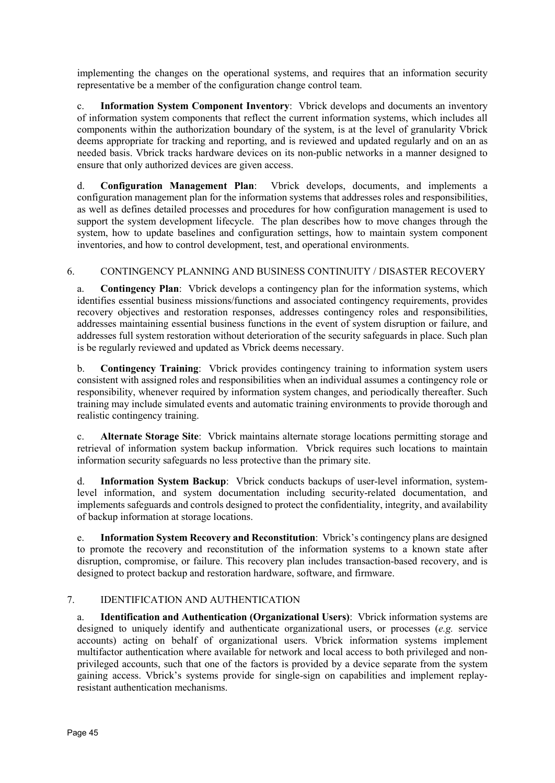implementing the changes on the operational systems, and requires that an information security representative be a member of the configuration change control team.

c. **Information System Component Inventory**: Vbrick develops and documents an inventory of information system components that reflect the current information systems, which includes all components within the authorization boundary of the system, is at the level of granularity Vbrick deems appropriate for tracking and reporting, and is reviewed and updated regularly and on an as needed basis. Vbrick tracks hardware devices on its non-public networks in a manner designed to ensure that only authorized devices are given access.

d. **Configuration Management Plan**: Vbrick develops, documents, and implements a configuration management plan for the information systems that addresses roles and responsibilities, as well as defines detailed processes and procedures for how configuration management is used to support the system development lifecycle. The plan describes how to move changes through the system, how to update baselines and configuration settings, how to maintain system component inventories, and how to control development, test, and operational environments.

## 6. CONTINGENCY PLANNING AND BUSINESS CONTINUITY / DISASTER RECOVERY

a. **Contingency Plan**: Vbrick develops a contingency plan for the information systems, which identifies essential business missions/functions and associated contingency requirements, provides recovery objectives and restoration responses, addresses contingency roles and responsibilities, addresses maintaining essential business functions in the event of system disruption or failure, and addresses full system restoration without deterioration of the security safeguards in place. Such plan is be regularly reviewed and updated as Vbrick deems necessary.

b. **Contingency Training**: Vbrick provides contingency training to information system users consistent with assigned roles and responsibilities when an individual assumes a contingency role or responsibility, whenever required by information system changes, and periodically thereafter. Such training may include simulated events and automatic training environments to provide thorough and realistic contingency training.

c. **Alternate Storage Site**: Vbrick maintains alternate storage locations permitting storage and retrieval of information system backup information. Vbrick requires such locations to maintain information security safeguards no less protective than the primary site.

d. **Information System Backup**: Vbrick conducts backups of user-level information, systemlevel information, and system documentation including security-related documentation, and implements safeguards and controls designed to protect the confidentiality, integrity, and availability of backup information at storage locations.

e. **Information System Recovery and Reconstitution**: Vbrick's contingency plans are designed to promote the recovery and reconstitution of the information systems to a known state after disruption, compromise, or failure. This recovery plan includes transaction-based recovery, and is designed to protect backup and restoration hardware, software, and firmware.

#### 7. IDENTIFICATION AND AUTHENTICATION

a. **Identification and Authentication (Organizational Users)**: Vbrick information systems are designed to uniquely identify and authenticate organizational users, or processes (*e.g.* service accounts) acting on behalf of organizational users. Vbrick information systems implement multifactor authentication where available for network and local access to both privileged and nonprivileged accounts, such that one of the factors is provided by a device separate from the system gaining access. Vbrick's systems provide for single-sign on capabilities and implement replayresistant authentication mechanisms.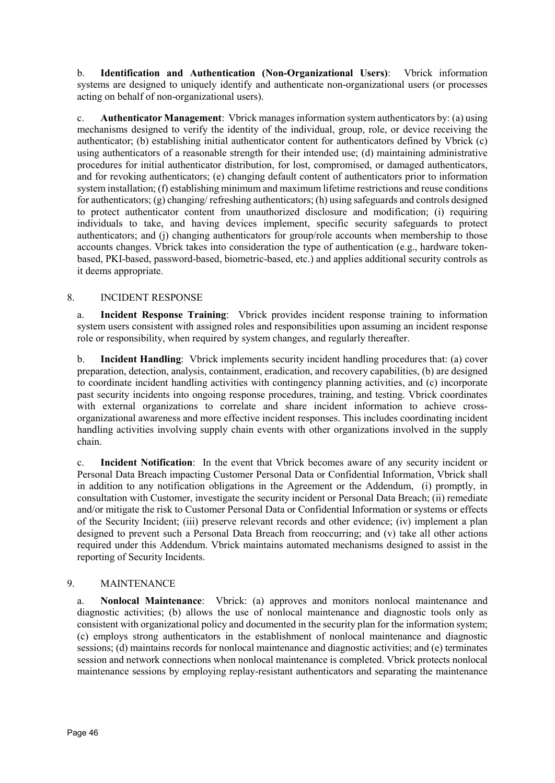b. **Identification and Authentication (Non-Organizational Users)**: Vbrick information systems are designed to uniquely identify and authenticate non-organizational users (or processes acting on behalf of non-organizational users).

c. **Authenticator Management**: Vbrick manages information system authenticators by: (a) using mechanisms designed to verify the identity of the individual, group, role, or device receiving the authenticator; (b) establishing initial authenticator content for authenticators defined by Vbrick (c) using authenticators of a reasonable strength for their intended use; (d) maintaining administrative procedures for initial authenticator distribution, for lost, compromised, or damaged authenticators, and for revoking authenticators; (e) changing default content of authenticators prior to information system installation; (f) establishing minimum and maximum lifetime restrictions and reuse conditions for authenticators; (g) changing/ refreshing authenticators; (h) using safeguards and controls designed to protect authenticator content from unauthorized disclosure and modification; (i) requiring individuals to take, and having devices implement, specific security safeguards to protect authenticators; and (j) changing authenticators for group/role accounts when membership to those accounts changes. Vbrick takes into consideration the type of authentication (e.g., hardware tokenbased, PKI-based, password-based, biometric-based, etc.) and applies additional security controls as it deems appropriate.

### 8. INCIDENT RESPONSE

a. **Incident Response Training**: Vbrick provides incident response training to information system users consistent with assigned roles and responsibilities upon assuming an incident response role or responsibility, when required by system changes, and regularly thereafter.

b. **Incident Handling**: Vbrick implements security incident handling procedures that: (a) cover preparation, detection, analysis, containment, eradication, and recovery capabilities, (b) are designed to coordinate incident handling activities with contingency planning activities, and (c) incorporate past security incidents into ongoing response procedures, training, and testing. Vbrick coordinates with external organizations to correlate and share incident information to achieve crossorganizational awareness and more effective incident responses. This includes coordinating incident handling activities involving supply chain events with other organizations involved in the supply chain.

c. **Incident Notification**: In the event that Vbrick becomes aware of any security incident or Personal Data Breach impacting Customer Personal Data or Confidential Information, Vbrick shall in addition to any notification obligations in the Agreement or the Addendum, (i) promptly, in consultation with Customer, investigate the security incident or Personal Data Breach; (ii) remediate and/or mitigate the risk to Customer Personal Data or Confidential Information or systems or effects of the Security Incident; (iii) preserve relevant records and other evidence; (iv) implement a plan designed to prevent such a Personal Data Breach from reoccurring; and (v) take all other actions required under this Addendum. Vbrick maintains automated mechanisms designed to assist in the reporting of Security Incidents.

## 9. MAINTENANCE

a. **Nonlocal Maintenance**: Vbrick: (a) approves and monitors nonlocal maintenance and diagnostic activities; (b) allows the use of nonlocal maintenance and diagnostic tools only as consistent with organizational policy and documented in the security plan for the information system; (c) employs strong authenticators in the establishment of nonlocal maintenance and diagnostic sessions; (d) maintains records for nonlocal maintenance and diagnostic activities; and (e) terminates session and network connections when nonlocal maintenance is completed. Vbrick protects nonlocal maintenance sessions by employing replay-resistant authenticators and separating the maintenance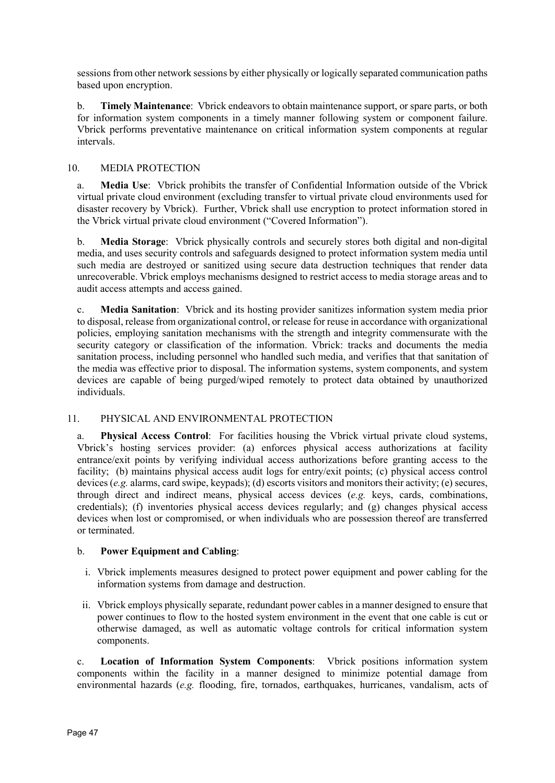sessions from other network sessions by either physically or logically separated communication paths based upon encryption.

b. **Timely Maintenance**: Vbrick endeavors to obtain maintenance support, or spare parts, or both for information system components in a timely manner following system or component failure. Vbrick performs preventative maintenance on critical information system components at regular intervals.

### 10. MEDIA PROTECTION

a. **Media Use**: Vbrick prohibits the transfer of Confidential Information outside of the Vbrick virtual private cloud environment (excluding transfer to virtual private cloud environments used for disaster recovery by Vbrick). Further, Vbrick shall use encryption to protect information stored in the Vbrick virtual private cloud environment ("Covered Information").

b. **Media Storage**: Vbrick physically controls and securely stores both digital and non-digital media, and uses security controls and safeguards designed to protect information system media until such media are destroyed or sanitized using secure data destruction techniques that render data unrecoverable. Vbrick employs mechanisms designed to restrict access to media storage areas and to audit access attempts and access gained.

c. **Media Sanitation**: Vbrick and its hosting provider sanitizes information system media prior to disposal, release from organizational control, or release for reuse in accordance with organizational policies, employing sanitation mechanisms with the strength and integrity commensurate with the security category or classification of the information. Vbrick: tracks and documents the media sanitation process, including personnel who handled such media, and verifies that that sanitation of the media was effective prior to disposal. The information systems, system components, and system devices are capable of being purged/wiped remotely to protect data obtained by unauthorized individuals.

## 11. PHYSICAL AND ENVIRONMENTAL PROTECTION

a. **Physical Access Control**: For facilities housing the Vbrick virtual private cloud systems, Vbrick's hosting services provider: (a) enforces physical access authorizations at facility entrance/exit points by verifying individual access authorizations before granting access to the facility; (b) maintains physical access audit logs for entry/exit points; (c) physical access control devices (*e.g.* alarms, card swipe, keypads); (d) escorts visitors and monitors their activity; (e) secures, through direct and indirect means, physical access devices (*e.g.* keys, cards, combinations, credentials); (f) inventories physical access devices regularly; and (g) changes physical access devices when lost or compromised, or when individuals who are possession thereof are transferred or terminated.

#### b. **Power Equipment and Cabling**:

- i. Vbrick implements measures designed to protect power equipment and power cabling for the information systems from damage and destruction.
- ii. Vbrick employs physically separate, redundant power cables in a manner designed to ensure that power continues to flow to the hosted system environment in the event that one cable is cut or otherwise damaged, as well as automatic voltage controls for critical information system components.

c. **Location of Information System Components**: Vbrick positions information system components within the facility in a manner designed to minimize potential damage from environmental hazards (*e.g.* flooding, fire, tornados, earthquakes, hurricanes, vandalism, acts of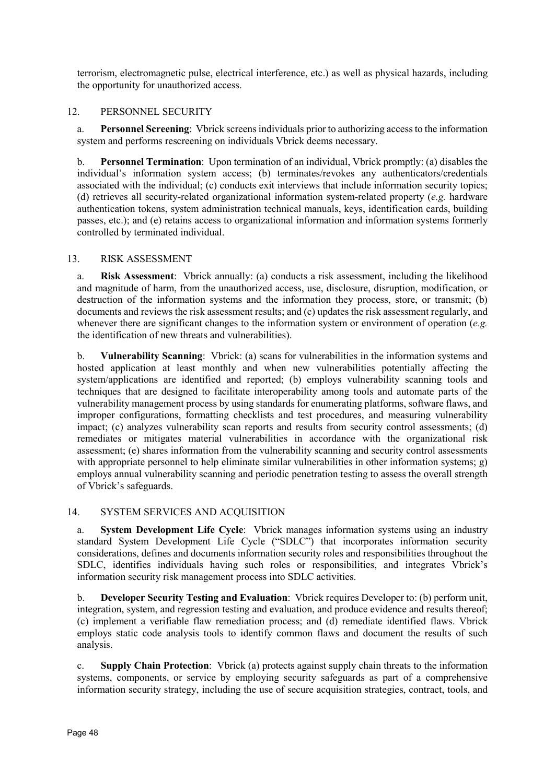terrorism, electromagnetic pulse, electrical interference, etc.) as well as physical hazards, including the opportunity for unauthorized access.

### 12. PERSONNEL SECURITY

a. **Personnel Screening**: Vbrick screens individuals prior to authorizing access to the information system and performs rescreening on individuals Vbrick deems necessary.

b. **Personnel Termination**: Upon termination of an individual, Vbrick promptly: (a) disables the individual's information system access; (b) terminates/revokes any authenticators/credentials associated with the individual; (c) conducts exit interviews that include information security topics; (d) retrieves all security-related organizational information system-related property (*e.g.* hardware authentication tokens, system administration technical manuals, keys, identification cards, building passes, etc.); and (e) retains access to organizational information and information systems formerly controlled by terminated individual.

#### 13. RISK ASSESSMENT

a. **Risk Assessment**: Vbrick annually: (a) conducts a risk assessment, including the likelihood and magnitude of harm, from the unauthorized access, use, disclosure, disruption, modification, or destruction of the information systems and the information they process, store, or transmit; (b) documents and reviews the risk assessment results; and (c) updates the risk assessment regularly, and whenever there are significant changes to the information system or environment of operation (*e.g.*  the identification of new threats and vulnerabilities).

b. **Vulnerability Scanning**: Vbrick: (a) scans for vulnerabilities in the information systems and hosted application at least monthly and when new vulnerabilities potentially affecting the system/applications are identified and reported; (b) employs vulnerability scanning tools and techniques that are designed to facilitate interoperability among tools and automate parts of the vulnerability management process by using standards for enumerating platforms, software flaws, and improper configurations, formatting checklists and test procedures, and measuring vulnerability impact; (c) analyzes vulnerability scan reports and results from security control assessments; (d) remediates or mitigates material vulnerabilities in accordance with the organizational risk assessment; (e) shares information from the vulnerability scanning and security control assessments with appropriate personnel to help eliminate similar vulnerabilities in other information systems; g) employs annual vulnerability scanning and periodic penetration testing to assess the overall strength of Vbrick's safeguards.

#### 14. SYSTEM SERVICES AND ACQUISITION

a. **System Development Life Cycle**: Vbrick manages information systems using an industry standard System Development Life Cycle ("SDLC") that incorporates information security considerations, defines and documents information security roles and responsibilities throughout the SDLC, identifies individuals having such roles or responsibilities, and integrates Vbrick's information security risk management process into SDLC activities.

b. **Developer Security Testing and Evaluation**: Vbrick requires Developer to: (b) perform unit, integration, system, and regression testing and evaluation, and produce evidence and results thereof; (c) implement a verifiable flaw remediation process; and (d) remediate identified flaws. Vbrick employs static code analysis tools to identify common flaws and document the results of such analysis.

c. **Supply Chain Protection**: Vbrick (a) protects against supply chain threats to the information systems, components, or service by employing security safeguards as part of a comprehensive information security strategy, including the use of secure acquisition strategies, contract, tools, and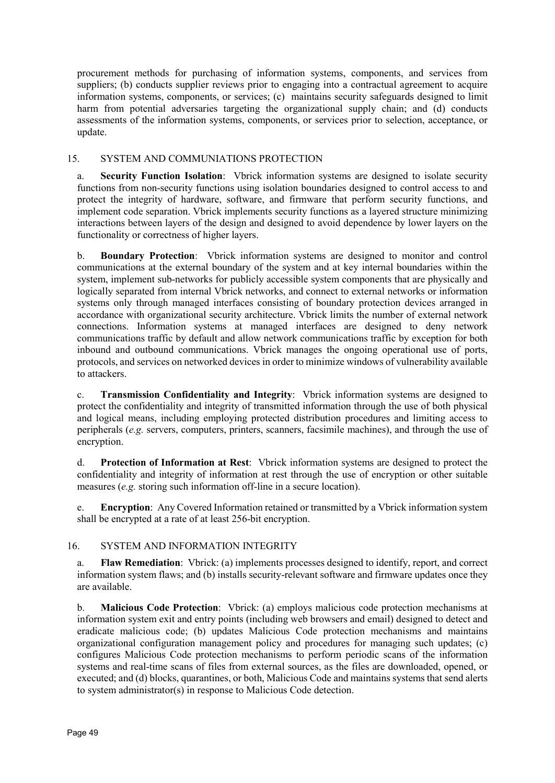procurement methods for purchasing of information systems, components, and services from suppliers; (b) conducts supplier reviews prior to engaging into a contractual agreement to acquire information systems, components, or services; (c) maintains security safeguards designed to limit harm from potential adversaries targeting the organizational supply chain; and (d) conducts assessments of the information systems, components, or services prior to selection, acceptance, or update.

### 15. SYSTEM AND COMMUNIATIONS PROTECTION

a. **Security Function Isolation**: Vbrick information systems are designed to isolate security functions from non-security functions using isolation boundaries designed to control access to and protect the integrity of hardware, software, and firmware that perform security functions, and implement code separation. Vbrick implements security functions as a layered structure minimizing interactions between layers of the design and designed to avoid dependence by lower layers on the functionality or correctness of higher layers.

b. **Boundary Protection**: Vbrick information systems are designed to monitor and control communications at the external boundary of the system and at key internal boundaries within the system, implement sub-networks for publicly accessible system components that are physically and logically separated from internal Vbrick networks, and connect to external networks or information systems only through managed interfaces consisting of boundary protection devices arranged in accordance with organizational security architecture. Vbrick limits the number of external network connections. Information systems at managed interfaces are designed to deny network communications traffic by default and allow network communications traffic by exception for both inbound and outbound communications. Vbrick manages the ongoing operational use of ports, protocols, and services on networked devices in order to minimize windows of vulnerability available to attackers.

c. **Transmission Confidentiality and Integrity**: Vbrick information systems are designed to protect the confidentiality and integrity of transmitted information through the use of both physical and logical means, including employing protected distribution procedures and limiting access to peripherals (*e.g.* servers, computers, printers, scanners, facsimile machines), and through the use of encryption.

d. **Protection of Information at Rest**: Vbrick information systems are designed to protect the confidentiality and integrity of information at rest through the use of encryption or other suitable measures (*e.g.* storing such information off-line in a secure location).

e. **Encryption**: Any Covered Information retained or transmitted by a Vbrick information system shall be encrypted at a rate of at least 256-bit encryption.

## 16. SYSTEM AND INFORMATION INTEGRITY

a. **Flaw Remediation**: Vbrick: (a) implements processes designed to identify, report, and correct information system flaws; and (b) installs security-relevant software and firmware updates once they are available.

b. **Malicious Code Protection**: Vbrick: (a) employs malicious code protection mechanisms at information system exit and entry points (including web browsers and email) designed to detect and eradicate malicious code; (b) updates Malicious Code protection mechanisms and maintains organizational configuration management policy and procedures for managing such updates; (c) configures Malicious Code protection mechanisms to perform periodic scans of the information systems and real-time scans of files from external sources, as the files are downloaded, opened, or executed; and (d) blocks, quarantines, or both, Malicious Code and maintains systems that send alerts to system administrator(s) in response to Malicious Code detection.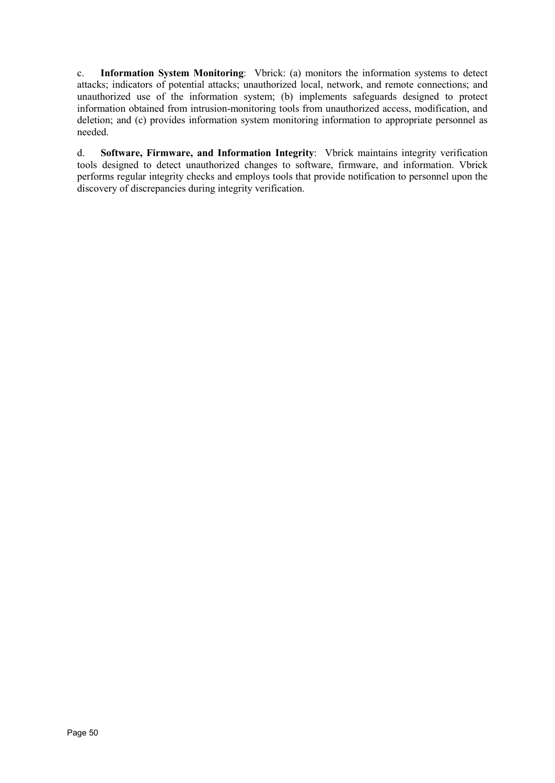c. **Information System Monitoring**: Vbrick: (a) monitors the information systems to detect attacks; indicators of potential attacks; unauthorized local, network, and remote connections; and unauthorized use of the information system; (b) implements safeguards designed to protect information obtained from intrusion-monitoring tools from unauthorized access, modification, and deletion; and (c) provides information system monitoring information to appropriate personnel as needed.

d. **Software, Firmware, and Information Integrity**: Vbrick maintains integrity verification tools designed to detect unauthorized changes to software, firmware, and information. Vbrick performs regular integrity checks and employs tools that provide notification to personnel upon the discovery of discrepancies during integrity verification.